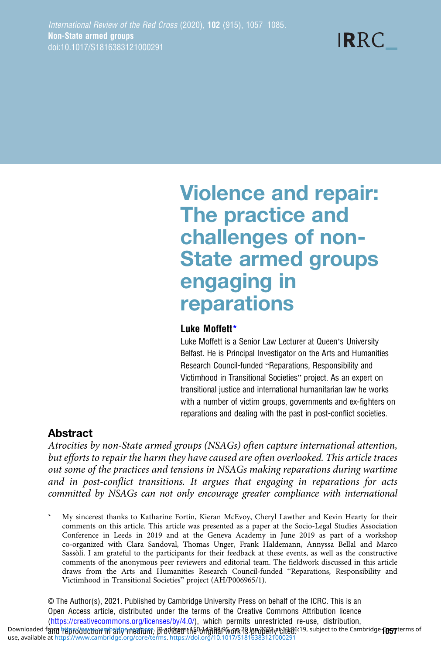**IRRC** 

# Violence and repair: The practice and challenges of non-State armed groups engaging in reparations

#### Luke Moffett\*

Luke Moffett is a Senior Law Lecturer at Queen's University Belfast. He is Principal Investigator on the Arts and Humanities Research Council-funded "Reparations, Responsibility and Victimhood in Transitional Societies" project. As an expert on transitional justice and international humanitarian law he works with a number of victim groups, governments and ex-fighters on reparations and dealing with the past in post-conflict societies.

# Abstract

Atrocities by non-State armed groups (NSAGs) often capture international attention, but efforts to repair the harm they have caused are often overlooked. This article traces out some of the practices and tensions in NSAGs making reparations during wartime and in post-conflict transitions. It argues that engaging in reparations for acts committed by NSAGs can not only encourage greater compliance with international

My sincerest thanks to Katharine Fortin, Kieran McEvoy, Cheryl Lawther and Kevin Hearty for their comments on this article. This article was presented as a paper at the Socio-Legal Studies Association Conference in Leeds in 2019 and at the Geneva Academy in June 2019 as part of a workshop co-organized with Clara Sandoval, Thomas Unger, Frank Haldemann, Annyssa Bellal and Marco Sassòli. I am grateful to the participants for their feedback at these events, as well as the constructive comments of the anonymous peer reviewers and editorial team. The fieldwork discussed in this article draws from the Arts and Humanities Research Council-funded "Reparations, Responsibility and Victimhood in Transitional Societies" project (AH/P006965/1).

© The Author(s), 2021. Published by Cambridge University Press on behalf of the ICRC. This is an Open Access article, distributed under the terms of the Creative Commons Attribution licence ([https://creativecommons.org/licenses/by/4.0/\)](https://creativecommons.org/licenses/by/4.0/), which permits unrestricted re-use, distribution, Downloaded f**and http://dwction in any medium, the video the origina**l Diverse subjected. 19, subject to the Cambridge **fost** terms of use, available at [https://www.cambridge.org/core/terms.](https://www.cambridge.org/core/terms)<https://doi.org/10.1017/S1816383121000291>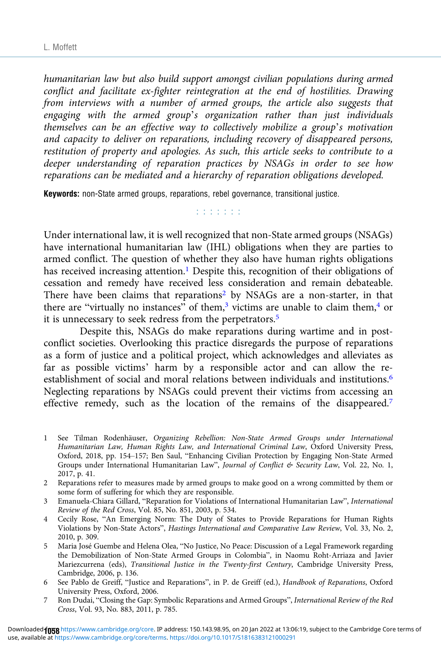humanitarian law but also build support amongst civilian populations during armed conflict and facilitate ex-fighter reintegration at the end of hostilities. Drawing from interviews with a number of armed groups, the article also suggests that engaging with the armed group's organization rather than just individuals themselves can be an effective way to collectively mobilize a group's motivation and capacity to deliver on reparations, including recovery of disappeared persons, restitution of property and apologies. As such, this article seeks to contribute to a deeper understanding of reparation practices by NSAGs in order to see how reparations can be mediated and a hierarchy of reparation obligations developed.

Keywords: non-State armed groups, reparations, rebel governance, transitional justice.

r r r r r r r

Under international law, it is well recognized that non-State armed groups (NSAGs) have international humanitarian law (IHL) obligations when they are parties to armed conflict. The question of whether they also have human rights obligations has received increasing attention.<sup>1</sup> Despite this, recognition of their obligations of cessation and remedy have received less consideration and remain debateable. There have been claims that reparations<sup>2</sup> by NSAGs are a non-starter, in that there are "virtually no instances" of them,<sup>3</sup> victims are unable to claim them,<sup>4</sup> or it is unnecessary to seek redress from the perpetrators.<sup>5</sup>

Despite this, NSAGs do make reparations during wartime and in postconflict societies. Overlooking this practice disregards the purpose of reparations as a form of justice and a political project, which acknowledges and alleviates as far as possible victims' harm by a responsible actor and can allow the reestablishment of social and moral relations between individuals and institutions.<sup>6</sup> Neglecting reparations by NSAGs could prevent their victims from accessing an effective remedy, such as the location of the remains of the disappeared.<sup>7</sup>

- 1 See Tilman Rodenhäuser, Organizing Rebellion: Non-State Armed Groups under International Humanitarian Law, Human Rights Law, and International Criminal Law, Oxford University Press, Oxford, 2018, pp. 154–157; Ben Saul, "Enhancing Civilian Protection by Engaging Non-State Armed Groups under International Humanitarian Law", Journal of Conflict & Security Law, Vol. 22, No. 1, 2017, p. 41.
- 2 Reparations refer to measures made by armed groups to make good on a wrong committed by them or some form of suffering for which they are responsible.
- 3 Emanuela-Chiara Gillard, "Reparation for Violations of International Humanitarian Law", International Review of the Red Cross, Vol. 85, No. 851, 2003, p. 534.
- 4 Cecily Rose, "An Emerging Norm: The Duty of States to Provide Reparations for Human Rights Violations by Non-State Actors", Hastings International and Comparative Law Review, Vol. 33, No. 2, 2010, p. 309.
- 5 Maria José Guembe and Helena Olea, "No Justice, No Peace: Discussion of a Legal Framework regarding the Demobilization of Non-State Armed Groups in Colombia", in Naomu Roht-Arriaza and Javier Mariezcurrena (eds), Transitional Justice in the Twenty-first Century, Cambridge University Press, Cambridge, 2006, p. 136.
- 6 See Pablo de Greiff, "Justice and Reparations", in P. de Greiff (ed.), Handbook of Reparations, Oxford University Press, Oxford, 2006.
- 7 Ron Dudai, "Closing the Gap: Symbolic Reparations and Armed Groups", International Review of the Red Cross, Vol. 93, No. 883, 2011, p. 785.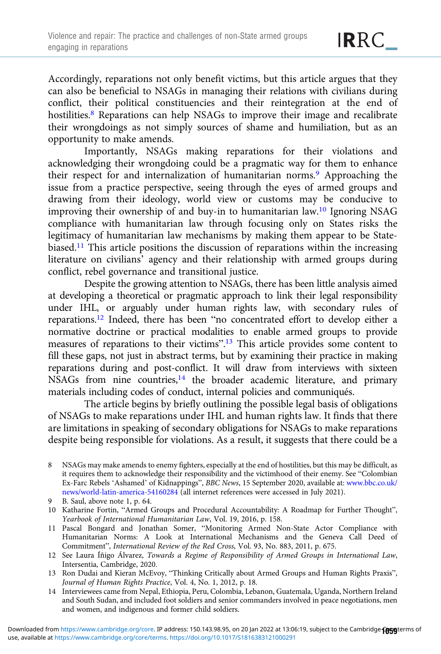Accordingly, reparations not only benefit victims, but this article argues that they can also be beneficial to NSAGs in managing their relations with civilians during conflict, their political constituencies and their reintegration at the end of hostilities.<sup>8</sup> Reparations can help NSAGs to improve their image and recalibrate their wrongdoings as not simply sources of shame and humiliation, but as an opportunity to make amends.

Importantly, NSAGs making reparations for their violations and acknowledging their wrongdoing could be a pragmatic way for them to enhance their respect for and internalization of humanitarian norms.<sup>9</sup> Approaching the issue from a practice perspective, seeing through the eyes of armed groups and drawing from their ideology, world view or customs may be conducive to improving their ownership of and buy-in to humanitarian law.10 Ignoring NSAG compliance with humanitarian law through focusing only on States risks the legitimacy of humanitarian law mechanisms by making them appear to be Statebiased.11 This article positions the discussion of reparations within the increasing literature on civilians' agency and their relationship with armed groups during conflict, rebel governance and transitional justice.

Despite the growing attention to NSAGs, there has been little analysis aimed at developing a theoretical or pragmatic approach to link their legal responsibility under IHL, or arguably under human rights law, with secondary rules of reparations.12 Indeed, there has been "no concentrated effort to develop either a normative doctrine or practical modalities to enable armed groups to provide measures of reparations to their victims".<sup>13</sup> This article provides some content to fill these gaps, not just in abstract terms, but by examining their practice in making reparations during and post-conflict. It will draw from interviews with sixteen NSAGs from nine countries,<sup>14</sup> the broader academic literature, and primary materials including codes of conduct, internal policies and communiqués.

The article begins by briefly outlining the possible legal basis of obligations of NSAGs to make reparations under IHL and human rights law. It finds that there are limitations in speaking of secondary obligations for NSAGs to make reparations despite being responsible for violations. As a result, it suggests that there could be a

- 9 B. Saul, above note 1, p. 64.
- 10 Katharine Fortin, "Armed Groups and Procedural Accountability: A Roadmap for Further Thought", Yearbook of International Humanitarian Law, Vol. 19, 2016, p. 158.
- 11 Pascal Bongard and Jonathan Somer, "Monitoring Armed Non-State Actor Compliance with Humanitarian Norms: A Look at International Mechanisms and the Geneva Call Deed of Commitment", International Review of the Red Cross, Vol. 93, No. 883, 2011, p. 675.
- 12 See Laura Íñigo Álvarez, Towards a Regime of Responsibility of Armed Groups in International Law, Intersentia, Cambridge, 2020.
- 13 Ron Dudai and Kieran McEvoy, "Thinking Critically about Armed Groups and Human Rights Praxis", Journal of Human Rights Practice, Vol. 4, No. 1, 2012, p. 18.
- 14 Interviewees came from Nepal, Ethiopia, Peru, Colombia, Lebanon, Guatemala, Uganda, Northern Ireland and South Sudan, and included foot soldiers and senior commanders involved in peace negotiations, men and women, and indigenous and former child soldiers.

<sup>8</sup> NSAGs may make amends to enemy fighters, especially at the end of hostilities, but this may be difficult, as it requires them to acknowledge their responsibility and the victimhood of their enemy. See "Colombian Ex-Farc Rebels 'Ashamed' of Kidnappings", BBC News, 15 September 2020, available at: [www.bbc.co.uk/](https://www.bbc.co.uk/news/world-latin-america-54160284) [news/world-latin-america-54160284](https://www.bbc.co.uk/news/world-latin-america-54160284) (all internet references were accessed in July 2021).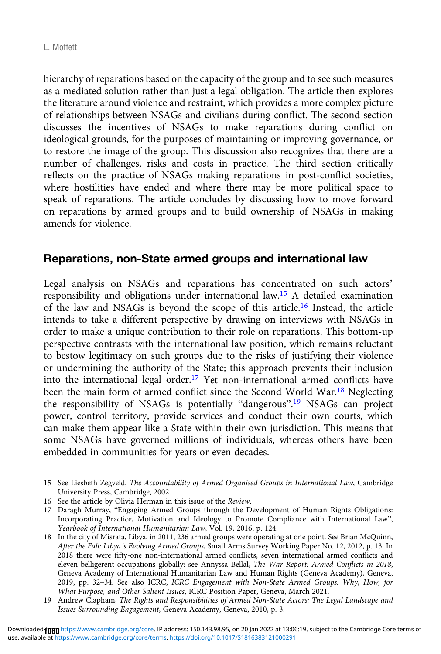hierarchy of reparations based on the capacity of the group and to see such measures as a mediated solution rather than just a legal obligation. The article then explores the literature around violence and restraint, which provides a more complex picture of relationships between NSAGs and civilians during conflict. The second section discusses the incentives of NSAGs to make reparations during conflict on ideological grounds, for the purposes of maintaining or improving governance, or to restore the image of the group. This discussion also recognizes that there are a number of challenges, risks and costs in practice. The third section critically reflects on the practice of NSAGs making reparations in post-conflict societies, where hostilities have ended and where there may be more political space to speak of reparations. The article concludes by discussing how to move forward on reparations by armed groups and to build ownership of NSAGs in making amends for violence.

#### Reparations, non-State armed groups and international law

Legal analysis on NSAGs and reparations has concentrated on such actors' responsibility and obligations under international law.15 A detailed examination of the law and NSAGs is beyond the scope of this article.16 Instead, the article intends to take a different perspective by drawing on interviews with NSAGs in order to make a unique contribution to their role on reparations. This bottom-up perspective contrasts with the international law position, which remains reluctant to bestow legitimacy on such groups due to the risks of justifying their violence or undermining the authority of the State; this approach prevents their inclusion into the international legal order.<sup>17</sup> Yet non-international armed conflicts have been the main form of armed conflict since the Second World War.<sup>18</sup> Neglecting the responsibility of NSAGs is potentially "dangerous".<sup>19</sup> NSAGs can project power, control territory, provide services and conduct their own courts, which can make them appear like a State within their own jurisdiction. This means that some NSAGs have governed millions of individuals, whereas others have been embedded in communities for years or even decades.

- 15 See Liesbeth Zegveld, The Accountability of Armed Organised Groups in International Law, Cambridge University Press, Cambridge, 2002.
- 16 See the article by Olivia Herman in this issue of the Review.

17 Daragh Murray, "Engaging Armed Groups through the Development of Human Rights Obligations: Incorporating Practice, Motivation and Ideology to Promote Compliance with International Law", Yearbook of International Humanitarian Law, Vol. 19, 2016, p. 124.

- 18 In the city of Misrata, Libya, in 2011, 236 armed groups were operating at one point. See Brian McQuinn, After the Fall: Libya's Evolving Armed Groups, Small Arms Survey Working Paper No. 12, 2012, p. 13. In 2018 there were fifty-one non-international armed conflicts, seven international armed conflicts and eleven belligerent occupations globally: see Annyssa Bellal, The War Report: Armed Conflicts in 2018, Geneva Academy of International Humanitarian Law and Human Rights (Geneva Academy), Geneva, 2019, pp. 32–34. See also ICRC, ICRC Engagement with Non-State Armed Groups: Why, How, for What Purpose, and Other Salient Issues, ICRC Position Paper, Geneva, March 2021.
- 19 Andrew Clapham, The Rights and Responsibilities of Armed Non-State Actors: The Legal Landscape and Issues Surrounding Engagement, Geneva Academy, Geneva, 2010, p. 3.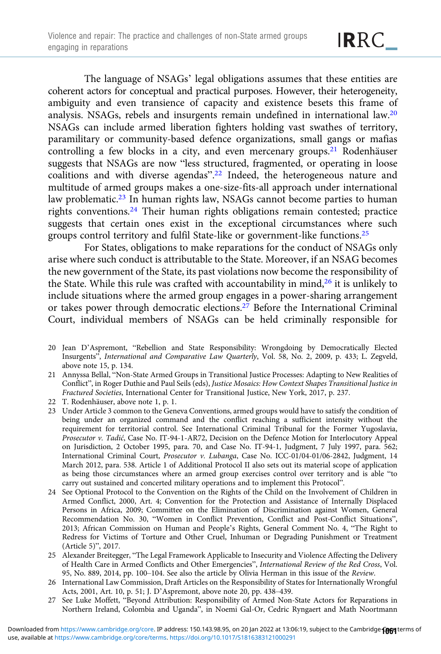The language of NSAGs' legal obligations assumes that these entities are coherent actors for conceptual and practical purposes. However, their heterogeneity, ambiguity and even transience of capacity and existence besets this frame of analysis. NSAGs, rebels and insurgents remain undefined in international law.20 NSAGs can include armed liberation fighters holding vast swathes of territory, paramilitary or community-based defence organizations, small gangs or mafias controlling a few blocks in a city, and even mercenary groups.<sup>21</sup> Rodenhäuser suggests that NSAGs are now "less structured, fragmented, or operating in loose coalitions and with diverse agendas".<sup>22</sup> Indeed, the heterogeneous nature and multitude of armed groups makes a one-size-fits-all approach under international law problematic.23 In human rights law, NSAGs cannot become parties to human rights conventions.<sup>24</sup> Their human rights obligations remain contested; practice suggests that certain ones exist in the exceptional circumstances where such groups control territory and fulfil State-like or government-like functions.<sup>25</sup>

For States, obligations to make reparations for the conduct of NSAGs only arise where such conduct is attributable to the State. Moreover, if an NSAG becomes the new government of the State, its past violations now become the responsibility of the State. While this rule was crafted with accountability in mind,<sup>26</sup> it is unlikely to include situations where the armed group engages in a power-sharing arrangement or takes power through democratic elections.27 Before the International Criminal Court, individual members of NSAGs can be held criminally responsible for

- 20 Jean D'Aspremont, "Rebellion and State Responsibility: Wrongdoing by Democratically Elected Insurgents", International and Comparative Law Quarterly, Vol. 58, No. 2, 2009, p. 433; L. Zegveld, above note 15, p. 134.
- 21 Annyssa Bellal, "Non-State Armed Groups in Transitional Justice Processes: Adapting to New Realities of Conflict", in Roger Duthie and Paul Seils (eds), Justice Mosaics: How Context Shapes Transitional Justice in Fractured Societies, International Center for Transitional Justice, New York, 2017, p. 237.
- 22 T. Rodenhäuser, above note 1, p. 1.
- 23 Under Article 3 common to the Geneva Conventions, armed groups would have to satisfy the condition of being under an organized command and the conflict reaching a sufficient intensity without the requirement for territorial control. See International Criminal Tribunal for the Former Yugoslavia, Prosecutor v. Tadić, Case No. IT-94-1-AR72, Decision on the Defence Motion for Interlocutory Appeal on Jurisdiction, 2 October 1995, para. 70, and Case No. IT-94-1, Judgment, 7 July 1997, para. 562; International Criminal Court, Prosecutor v. Lubanga, Case No. ICC-01/04-01/06-2842, Judgment, 14 March 2012, para. 538. Article 1 of Additional Protocol II also sets out its material scope of application as being those circumstances where an armed group exercises control over territory and is able "to carry out sustained and concerted military operations and to implement this Protocol".
- 24 See Optional Protocol to the Convention on the Rights of the Child on the Involvement of Children in Armed Conflict, 2000, Art. 4; Convention for the Protection and Assistance of Internally Displaced Persons in Africa, 2009; Committee on the Elimination of Discrimination against Women, General Recommendation No. 30, "Women in Conflict Prevention, Conflict and Post-Conflict Situations", 2013; African Commission on Human and People's Rights, General Comment No. 4, "The Right to Redress for Victims of Torture and Other Cruel, Inhuman or Degrading Punishment or Treatment (Article 5)", 2017.
- 25 Alexander Breitegger, "The Legal Framework Applicable to Insecurity and Violence Affecting the Delivery of Health Care in Armed Conflicts and Other Emergencies", International Review of the Red Cross, Vol. 95, No. 889, 2014, pp. 100–104. See also the article by Olivia Herman in this issue of the Review.
- 26 International Law Commission, Draft Articles on the Responsibility of States for Internationally Wrongful Acts, 2001, Art. 10, p. 51; J. D'Aspremont, above note 20, pp. 438–439.
- 27 See Luke Moffett, "Beyond Attribution: Responsibility of Armed Non-State Actors for Reparations in Northern Ireland, Colombia and Uganda", in Noemi Gal-Or, Cedric Ryngaert and Math Noortmann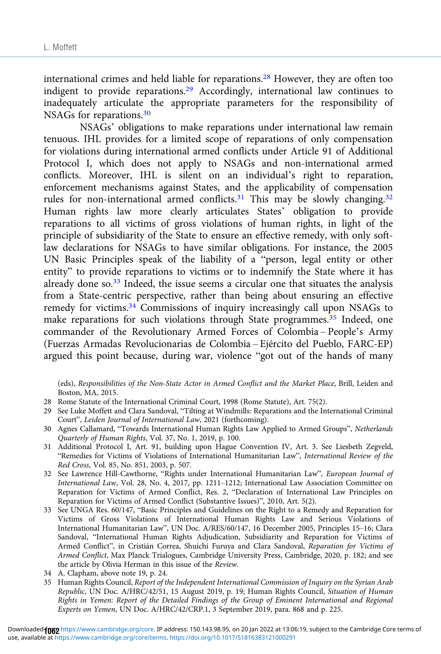international crimes and held liable for reparations.<sup>28</sup> However, they are often too indigent to provide reparations.<sup>29</sup> Accordingly, international law continues to inadequately articulate the appropriate parameters for the responsibility of NSAGs for reparations.30

NSAGs' obligations to make reparations under international law remain tenuous. IHL provides for a limited scope of reparations of only compensation for violations during international armed conflicts under Article 91 of Additional Protocol I, which does not apply to NSAGs and non-international armed conflicts. Moreover, IHL is silent on an individual's right to reparation, enforcement mechanisms against States, and the applicability of compensation rules for non-international armed conflicts.<sup>31</sup> This may be slowly changing.<sup>32</sup> Human rights law more clearly articulates States' obligation to provide reparations to all victims of gross violations of human rights, in light of the principle of subsidiarity of the State to ensure an effective remedy, with only softlaw declarations for NSAGs to have similar obligations. For instance, the 2005 UN Basic Principles speak of the liability of a "person, legal entity or other entity" to provide reparations to victims or to indemnify the State where it has already done so.<sup>33</sup> Indeed, the issue seems a circular one that situates the analysis from a State-centric perspective, rather than being about ensuring an effective remedy for victims.34 Commissions of inquiry increasingly call upon NSAGs to make reparations for such violations through State programmes.<sup>35</sup> Indeed, one commander of the Revolutionary Armed Forces of Colombia – People's Army (Fuerzas Armadas Revolucionarias de Colombia – Ejército del Pueblo, FARC-EP) argued this point because, during war, violence "got out of the hands of many

(eds), Responsibilities of the Non-State Actor in Armed Conflict and the Market Place, Brill, Leiden and Boston, MA, 2015.

- 28 Rome Statute of the International Criminal Court, 1998 (Rome Statute), Art. 75(2).
- 29 See Luke Moffett and Clara Sandoval, "Tilting at Windmills: Reparations and the International Criminal Court", Leiden Journal of International Law, 2021 (forthcoming).
- 30 Agnes Callamard, "Towards International Human Rights Law Applied to Armed Groups", Netherlands Quarterly of Human Rights, Vol. 37, No. 1, 2019, p. 100.
- 31 Additional Protocol I, Art. 91, building upon Hague Convention IV, Art. 3. See Liesbeth Zegveld, "Remedies for Victims of Violations of International Humanitarian Law", International Review of the Red Cross, Vol. 85, No. 851, 2003, p. 507.
- 32 See Lawrence Hill-Cawthorne, "Rights under International Humanitarian Law", European Journal of International Law, Vol. 28, No. 4, 2017, pp. 1211–1212; International Law Association Committee on Reparation for Victims of Armed Conflict, Res. 2, "Declaration of International Law Principles on Reparation for Victims of Armed Conflict (Substantive Issues)", 2010, Art. 5(2).
- 33 See UNGA Res. 60/147, "Basic Principles and Guidelines on the Right to a Remedy and Reparation for Victims of Gross Violations of International Human Rights Law and Serious Violations of International Humanitarian Law", UN Doc. A/RES/60/147, 16 December 2005, Principles 15–16; Clara Sandoval, "International Human Rights Adjudication, Subsidiarity and Reparation for Victims of Armed Conflict", in Cristián Correa, Shuichi Furuya and Clara Sandoval, Reparation for Victims of Armed Conflict, Max Planck Trialogues, Cambridge University Press, Cambridge, 2020, p. 182; and see the article by Olivia Herman in this issue of the Review.
- 34 A. Clapham, above note 19, p. 24.
- 35 Human Rights Council, Report of the Independent International Commission of Inquiry on the Syrian Arab Republic, UN Doc. A/HRC/42/51, 15 August 2019, p. 19; Human Rights Council, Situation of Human Rights in Yemen: Report of the Detailed Findings of the Group of Eminent International and Regional Experts on Yemen, UN Doc. A/HRC/42/CRP.1, 3 September 2019, para. 868 and p. 225.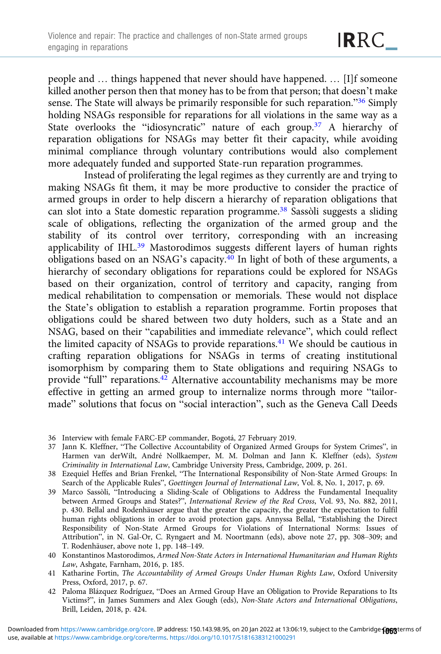people and … things happened that never should have happened. … [I]f someone killed another person then that money has to be from that person; that doesn't make sense. The State will always be primarily responsible for such reparation."<sup>36</sup> Simply holding NSAGs responsible for reparations for all violations in the same way as a State overlooks the "idiosyncratic" nature of each group.<sup>37</sup> A hierarchy of reparation obligations for NSAGs may better fit their capacity, while avoiding minimal compliance through voluntary contributions would also complement more adequately funded and supported State-run reparation programmes.

Instead of proliferating the legal regimes as they currently are and trying to making NSAGs fit them, it may be more productive to consider the practice of armed groups in order to help discern a hierarchy of reparation obligations that can slot into a State domestic reparation programme.<sup>38</sup> Sassòli suggests a sliding scale of obligations, reflecting the organization of the armed group and the stability of its control over territory, corresponding with an increasing applicability of IHL.39 Mastorodimos suggests different layers of human rights obligations based on an NSAG's capacity.<sup>40</sup> In light of both of these arguments, a hierarchy of secondary obligations for reparations could be explored for NSAGs based on their organization, control of territory and capacity, ranging from medical rehabilitation to compensation or memorials. These would not displace the State's obligation to establish a reparation programme. Fortin proposes that obligations could be shared between two duty holders, such as a State and an NSAG, based on their "capabilities and immediate relevance", which could reflect the limited capacity of NSAGs to provide reparations.<sup>41</sup> We should be cautious in crafting reparation obligations for NSAGs in terms of creating institutional isomorphism by comparing them to State obligations and requiring NSAGs to provide "full" reparations.<sup>42</sup> Alternative accountability mechanisms may be more effective in getting an armed group to internalize norms through more "tailormade" solutions that focus on "social interaction", such as the Geneva Call Deeds

36 Interview with female FARC-EP commander, Bogotá, 27 February 2019.

- 37 Jann K. Kleffner, "The Collective Accountability of Organized Armed Groups for System Crimes", in Harmen van derWilt, André Nollkaemper, M. M. Dolman and Jann K. Kleffner (eds), System Criminality in International Law, Cambridge University Press, Cambridge, 2009, p. 261.
- 38 Ezequiel Heffes and Brian Frenkel, "The International Responsibility of Non-State Armed Groups: In Search of the Applicable Rules", Goettingen Journal of International Law, Vol. 8, No. 1, 2017, p. 69.
- 39 Marco Sassòli, "Introducing a Sliding-Scale of Obligations to Address the Fundamental Inequality between Armed Groups and States?", International Review of the Red Cross, Vol. 93, No. 882, 2011, p. 430. Bellal and Rodenhäuser argue that the greater the capacity, the greater the expectation to fulfil human rights obligations in order to avoid protection gaps. Annyssa Bellal, "Establishing the Direct Responsibility of Non-State Armed Groups for Violations of International Norms: Issues of Attribution", in N. Gal-Or, C. Ryngaert and M. Noortmann (eds), above note 27, pp. 308–309; and T. Rodenhäuser, above note 1, pp. 148–149.
- 40 Konstantinos Mastorodimos, Armed Non-State Actors in International Humanitarian and Human Rights Law, Ashgate, Farnham, 2016, p. 185.
- 41 Katharine Fortin, The Accountability of Armed Groups Under Human Rights Law, Oxford University Press, Oxford, 2017, p. 67.
- 42 Paloma Blázquez Rodríguez, "Does an Armed Group Have an Obligation to Provide Reparations to Its Victims?", in James Summers and Alex Gough (eds), Non-State Actors and International Obligations, Brill, Leiden, 2018, p. 424.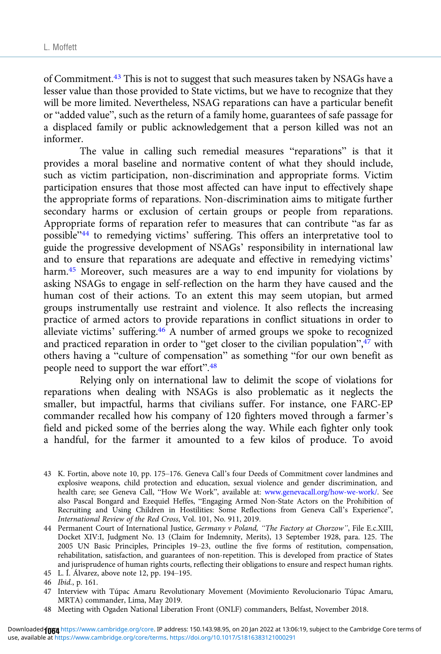of Commitment.<sup>43</sup> This is not to suggest that such measures taken by NSAGs have a lesser value than those provided to State victims, but we have to recognize that they will be more limited. Nevertheless, NSAG reparations can have a particular benefit or "added value", such as the return of a family home, guarantees of safe passage for a displaced family or public acknowledgement that a person killed was not an informer.

The value in calling such remedial measures "reparations" is that it provides a moral baseline and normative content of what they should include, such as victim participation, non-discrimination and appropriate forms. Victim participation ensures that those most affected can have input to effectively shape the appropriate forms of reparations. Non-discrimination aims to mitigate further secondary harms or exclusion of certain groups or people from reparations. Appropriate forms of reparation refer to measures that can contribute "as far as possible"<sup>44</sup> to remedying victims' suffering. This offers an interpretative tool to guide the progressive development of NSAGs' responsibility in international law and to ensure that reparations are adequate and effective in remedying victims' harm.45 Moreover, such measures are a way to end impunity for violations by asking NSAGs to engage in self-reflection on the harm they have caused and the human cost of their actions. To an extent this may seem utopian, but armed groups instrumentally use restraint and violence. It also reflects the increasing practice of armed actors to provide reparations in conflict situations in order to alleviate victims' suffering.46 A number of armed groups we spoke to recognized and practiced reparation in order to "get closer to the civilian population",<sup>47</sup> with others having a "culture of compensation" as something "for our own benefit as people need to support the war effort".<sup>48</sup>

Relying only on international law to delimit the scope of violations for reparations when dealing with NSAGs is also problematic as it neglects the smaller, but impactful, harms that civilians suffer. For instance, one FARC-EP commander recalled how his company of 120 fighters moved through a farmer's field and picked some of the berries along the way. While each fighter only took a handful, for the farmer it amounted to a few kilos of produce. To avoid

- 43 K. Fortin, above note 10, pp. 175–176. Geneva Call's four Deeds of Commitment cover landmines and explosive weapons, child protection and education, sexual violence and gender discrimination, and health care; see Geneva Call, "How We Work", available at: [www.genevacall.org/how-we-work/.](https://www.genevacall.org/how-we-work/) See also Pascal Bongard and Ezequiel Heffes, "Engaging Armed Non-State Actors on the Prohibition of Recruiting and Using Children in Hostilities: Some Reflections from Geneva Call's Experience", International Review of the Red Cross, Vol. 101, No. 911, 2019.
- 44 Permanent Court of International Justice, Germany v Poland, "The Factory at Chorzow", File E.c.XIII, Docket XIV:I, Judgment No. 13 (Claim for Indemnity, Merits), 13 September 1928, para. 125. The 2005 UN Basic Principles, Principles 19–23, outline the five forms of restitution, compensation, rehabilitation, satisfaction, and guarantees of non-repetition. This is developed from practice of States and jurisprudence of human rights courts, reflecting their obligations to ensure and respect human rights. 45 L. Í. Álvarez, above note 12, pp. 194–195.

- 47 Interview with Túpac Amaru Revolutionary Movement (Movimiento Revolucionario Túpac Amaru, MRTA) commander, Lima, May 2019.
- 48 Meeting with Ogaden National Liberation Front (ONLF) commanders, Belfast, November 2018.

<sup>46</sup> Ibid., p. 161.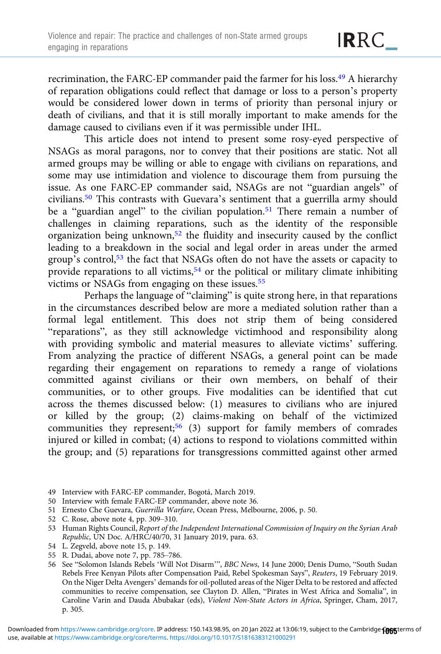recrimination, the FARC-EP commander paid the farmer for his loss.<sup>49</sup> A hierarchy of reparation obligations could reflect that damage or loss to a person's property would be considered lower down in terms of priority than personal injury or death of civilians, and that it is still morally important to make amends for the damage caused to civilians even if it was permissible under IHL.

This article does not intend to present some rosy-eyed perspective of NSAGs as moral paragons, nor to convey that their positions are static. Not all armed groups may be willing or able to engage with civilians on reparations, and some may use intimidation and violence to discourage them from pursuing the issue. As one FARC-EP commander said, NSAGs are not "guardian angels" of civilians.50 This contrasts with Guevara's sentiment that a guerrilla army should be a "guardian angel" to the civilian population.<sup>51</sup> There remain a number of challenges in claiming reparations, such as the identity of the responsible organization being unknown,<sup>52</sup> the fluidity and insecurity caused by the conflict leading to a breakdown in the social and legal order in areas under the armed group's control,53 the fact that NSAGs often do not have the assets or capacity to provide reparations to all victims,<sup>54</sup> or the political or military climate inhibiting victims or NSAGs from engaging on these issues.<sup>55</sup>

Perhaps the language of "claiming" is quite strong here, in that reparations in the circumstances described below are more a mediated solution rather than a formal legal entitlement. This does not strip them of being considered "reparations", as they still acknowledge victimhood and responsibility along with providing symbolic and material measures to alleviate victims' suffering. From analyzing the practice of different NSAGs, a general point can be made regarding their engagement on reparations to remedy a range of violations committed against civilians or their own members, on behalf of their communities, or to other groups. Five modalities can be identified that cut across the themes discussed below: (1) measures to civilians who are injured or killed by the group; (2) claims-making on behalf of the victimized communities they represent;<sup>56</sup> (3) support for family members of comrades injured or killed in combat; (4) actions to respond to violations committed within the group; and (5) reparations for transgressions committed against other armed

- 49 Interview with FARC-EP commander, Bogotá, March 2019.
- 50 Interview with female FARC-EP commander, above note 36.
- 51 Ernesto Che Guevara, Guerrilla Warfare, Ocean Press, Melbourne, 2006, p. 50.
- 52 C. Rose, above note 4, pp. 309–310.
- 53 Human Rights Council, Report of the Independent International Commission of Inquiry on the Syrian Arab Republic, UN Doc. A/HRC/40/70, 31 January 2019, para. 63.
- 54 L. Zegveld, above note 15, p. 149.
- 55 R. Dudai, above note 7, pp. 785–786.
- 56 See "Solomon Islands Rebels 'Will Not Disarm'", BBC News, 14 June 2000; Denis Dumo, "South Sudan Rebels Free Kenyan Pilots after Compensation Paid, Rebel Spokesman Says", Reuters, 19 February 2019. On the Niger Delta Avengers' demands for oil-polluted areas of the Niger Delta to be restored and affected communities to receive compensation, see Clayton D. Allen, "Pirates in West Africa and Somalia", in Caroline Varin and Dauda Abubakar (eds), Violent Non-State Actors in Africa, Springer, Cham, 2017, p. 305.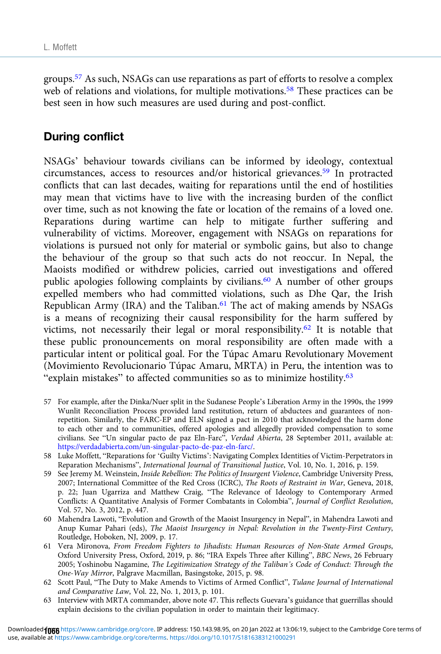groups.57 As such, NSAGs can use reparations as part of efforts to resolve a complex web of relations and violations, for multiple motivations.<sup>58</sup> These practices can be best seen in how such measures are used during and post-conflict.

# During conflict

NSAGs' behaviour towards civilians can be informed by ideology, contextual circumstances, access to resources and/or historical grievances.59 In protracted conflicts that can last decades, waiting for reparations until the end of hostilities may mean that victims have to live with the increasing burden of the conflict over time, such as not knowing the fate or location of the remains of a loved one. Reparations during wartime can help to mitigate further suffering and vulnerability of victims. Moreover, engagement with NSAGs on reparations for violations is pursued not only for material or symbolic gains, but also to change the behaviour of the group so that such acts do not reoccur. In Nepal, the Maoists modified or withdrew policies, carried out investigations and offered public apologies following complaints by civilians.<sup>60</sup> A number of other groups expelled members who had committed violations, such as Dhe Qar, the Irish Republican Army (IRA) and the Taliban. $61$  The act of making amends by NSAGs is a means of recognizing their causal responsibility for the harm suffered by victims, not necessarily their legal or moral responsibility.<sup>62</sup> It is notable that these public pronouncements on moral responsibility are often made with a particular intent or political goal. For the Túpac Amaru Revolutionary Movement (Movimiento Revolucionario Túpac Amaru, MRTA) in Peru, the intention was to "explain mistakes" to affected communities so as to minimize hostility.<sup>63</sup>

- 57 For example, after the Dinka/Nuer split in the Sudanese People's Liberation Army in the 1990s, the 1999 Wunlit Reconciliation Process provided land restitution, return of abductees and guarantees of nonrepetition. Similarly, the FARC-EP and ELN signed a pact in 2010 that acknowledged the harm done to each other and to communities, offered apologies and allegedly provided compensation to some civilians. See "Un singular pacto de paz Eln-Farc", Verdad Abierta, 28 September 2011, available at: <https://verdadabierta.com/un-singular-pacto-de-paz-eln-farc/>.
- 58 Luke Moffett, "Reparations for 'Guilty Victims': Navigating Complex Identities of Victim-Perpetrators in Reparation Mechanisms", International Journal of Transitional Justice, Vol. 10, No. 1, 2016, p. 159.
- 59 See Jeremy M. Weinstein, Inside Rebellion: The Politics of Insurgent Violence, Cambridge University Press, 2007; International Committee of the Red Cross (ICRC), The Roots of Restraint in War, Geneva, 2018, p. 22; Juan Ugarriza and Matthew Craig, "The Relevance of Ideology to Contemporary Armed Conflicts: A Quantitative Analysis of Former Combatants in Colombia", Journal of Conflict Resolution, Vol. 57, No. 3, 2012, p. 447.
- 60 Mahendra Lawoti, "Evolution and Growth of the Maoist Insurgency in Nepal", in Mahendra Lawoti and Anup Kumar Pahari (eds), The Maoist Insurgency in Nepal: Revolution in the Twenty-First Century, Routledge, Hoboken, NJ, 2009, p. 17.
- 61 Vera Mironova, From Freedom Fighters to Jihadists: Human Resources of Non-State Armed Groups, Oxford University Press, Oxford, 2019, p. 86; "IRA Expels Three after Killing", BBC News, 26 February 2005; Yoshinobu Nagamine, The Legitimization Strategy of the Taliban's Code of Conduct: Through the One-Way Mirror, Palgrave Macmillan, Basingstoke, 2015, p. 98.
- 62 Scott Paul, "The Duty to Make Amends to Victims of Armed Conflict", Tulane Journal of International and Comparative Law, Vol. 22, No. 1, 2013, p. 101.
- 63 Interview with MRTA commander, above note 47. This reflects Guevara's guidance that guerrillas should explain decisions to the civilian population in order to maintain their legitimacy.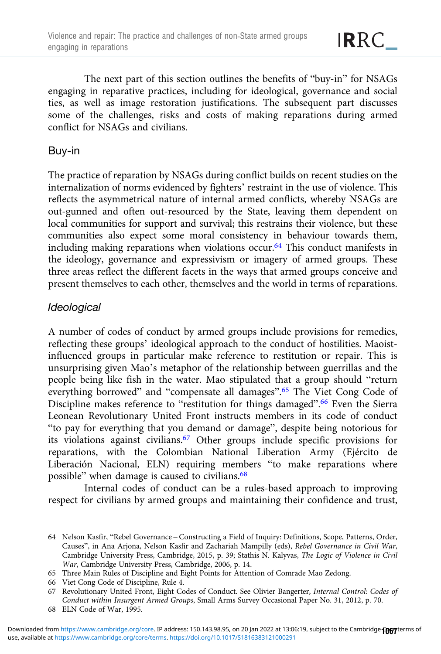The next part of this section outlines the benefits of "buy-in" for NSAGs engaging in reparative practices, including for ideological, governance and social ties, as well as image restoration justifications. The subsequent part discusses some of the challenges, risks and costs of making reparations during armed conflict for NSAGs and civilians.

### Buy-in

The practice of reparation by NSAGs during conflict builds on recent studies on the internalization of norms evidenced by fighters' restraint in the use of violence. This reflects the asymmetrical nature of internal armed conflicts, whereby NSAGs are out-gunned and often out-resourced by the State, leaving them dependent on local communities for support and survival; this restrains their violence, but these communities also expect some moral consistency in behaviour towards them, including making reparations when violations occur.64 This conduct manifests in the ideology, governance and expressivism or imagery of armed groups. These three areas reflect the different facets in the ways that armed groups conceive and present themselves to each other, themselves and the world in terms of reparations.

## **Ideological**

A number of codes of conduct by armed groups include provisions for remedies, reflecting these groups' ideological approach to the conduct of hostilities. Maoistinfluenced groups in particular make reference to restitution or repair. This is unsurprising given Mao's metaphor of the relationship between guerrillas and the people being like fish in the water. Mao stipulated that a group should "return everything borrowed" and "compensate all damages".<sup>65</sup> The Viet Cong Code of Discipline makes reference to "restitution for things damaged". <sup>66</sup> Even the Sierra Leonean Revolutionary United Front instructs members in its code of conduct "to pay for everything that you demand or damage", despite being notorious for its violations against civilians.<sup>67</sup> Other groups include specific provisions for reparations, with the Colombian National Liberation Army (Ejército de Liberación Nacional, ELN) requiring members "to make reparations where possible" when damage is caused to civilians.<sup>68</sup>

Internal codes of conduct can be a rules-based approach to improving respect for civilians by armed groups and maintaining their confidence and trust,

<sup>64</sup> Nelson Kasfir, "Rebel Governance – Constructing a Field of Inquiry: Definitions, Scope, Patterns, Order, Causes", in Ana Arjona, Nelson Kasfir and Zachariah Mampilly (eds), Rebel Governance in Civil War, Cambridge University Press, Cambridge, 2015, p. 39; Stathis N. Kalyvas, The Logic of Violence in Civil War, Cambridge University Press, Cambridge, 2006, p. 14.

<sup>65</sup> Three Main Rules of Discipline and Eight Points for Attention of Comrade Mao Zedong.

<sup>66</sup> Viet Cong Code of Discipline, Rule 4.

<sup>67</sup> Revolutionary United Front, Eight Codes of Conduct. See Olivier Bangerter, Internal Control: Codes of Conduct within Insurgent Armed Groups, Small Arms Survey Occasional Paper No. 31, 2012, p. 70.

<sup>68</sup> ELN Code of War, 1995.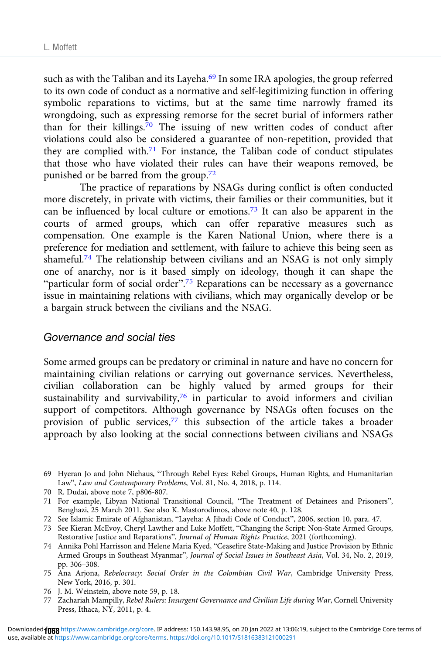such as with the Taliban and its Layeha.<sup>69</sup> In some IRA apologies, the group referred to its own code of conduct as a normative and self-legitimizing function in offering symbolic reparations to victims, but at the same time narrowly framed its wrongdoing, such as expressing remorse for the secret burial of informers rather than for their killings.<sup>70</sup> The issuing of new written codes of conduct after violations could also be considered a guarantee of non-repetition, provided that they are complied with.<sup>71</sup> For instance, the Taliban code of conduct stipulates that those who have violated their rules can have their weapons removed, be punished or be barred from the group.72

The practice of reparations by NSAGs during conflict is often conducted more discretely, in private with victims, their families or their communities, but it can be influenced by local culture or emotions.73 It can also be apparent in the courts of armed groups, which can offer reparative measures such as compensation. One example is the Karen National Union, where there is a preference for mediation and settlement, with failure to achieve this being seen as shameful.<sup>74</sup> The relationship between civilians and an NSAG is not only simply one of anarchy, nor is it based simply on ideology, though it can shape the "particular form of social order".<sup>75</sup> Reparations can be necessary as a governance issue in maintaining relations with civilians, which may organically develop or be a bargain struck between the civilians and the NSAG.

#### Governance and social ties

Some armed groups can be predatory or criminal in nature and have no concern for maintaining civilian relations or carrying out governance services. Nevertheless, civilian collaboration can be highly valued by armed groups for their sustainability and survivability, $76$  in particular to avoid informers and civilian support of competitors. Although governance by NSAGs often focuses on the provision of public services,<sup>77</sup> this subsection of the article takes a broader approach by also looking at the social connections between civilians and NSAGs

- 69 Hyeran Jo and John Niehaus, "Through Rebel Eyes: Rebel Groups, Human Rights, and Humanitarian Law", Law and Contemporary Problems, Vol. 81, No. 4, 2018, p. 114.
- 70 R. Dudai, above note 7, p806-807.

- 72 See Islamic Emirate of Afghanistan, "Layeha: A Jihadi Code of Conduct", 2006, section 10, para. 47.
- 73 See Kieran McEvoy, Cheryl Lawther and Luke Moffett, "Changing the Script: Non-State Armed Groups, Restorative Justice and Reparations", Journal of Human Rights Practice, 2021 (forthcoming).
- 74 Annika Pohl Harrisson and Helene Maria Kyed, "Ceasefire State-Making and Justice Provision by Ethnic Armed Groups in Southeast Myanmar", Journal of Social Issues in Southeast Asia, Vol. 34, No. 2, 2019, pp. 306–308.
- 75 Ana Arjona, Rebelocracy: Social Order in the Colombian Civil War, Cambridge University Press, New York, 2016, p. 301.
- 76 J. M. Weinstein, above note 59, p. 18.
- 77 Zachariah Mampilly, Rebel Rulers: Insurgent Governance and Civilian Life during War, Cornell University Press, Ithaca, NY, 2011, p. 4.

<sup>71</sup> For example, Libyan National Transitional Council, "The Treatment of Detainees and Prisoners", Benghazi, 25 March 2011. See also K. Mastorodimos, above note 40, p. 128.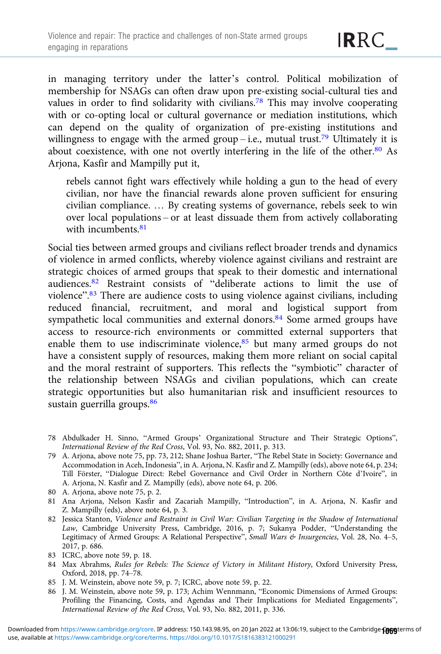in managing territory under the latter's control. Political mobilization of membership for NSAGs can often draw upon pre-existing social-cultural ties and values in order to find solidarity with civilians.<sup>78</sup> This may involve cooperating with or co-opting local or cultural governance or mediation institutions, which can depend on the quality of organization of pre-existing institutions and willingness to engage with the armed group – i.e., mutual trust.<sup>79</sup> Ultimately it is about coexistence, with one not overtly interfering in the life of the other.<sup>80</sup> As Arjona, Kasfir and Mampilly put it,

rebels cannot fight wars effectively while holding a gun to the head of every civilian, nor have the financial rewards alone proven sufficient for ensuring civilian compliance. … By creating systems of governance, rebels seek to win over local populations – or at least dissuade them from actively collaborating with incumbents  $81$ 

Social ties between armed groups and civilians reflect broader trends and dynamics of violence in armed conflicts, whereby violence against civilians and restraint are strategic choices of armed groups that speak to their domestic and international audiences.82 Restraint consists of "deliberate actions to limit the use of violence".<sup>83</sup> There are audience costs to using violence against civilians, including reduced financial, recruitment, and moral and logistical support from sympathetic local communities and external donors.<sup>84</sup> Some armed groups have access to resource-rich environments or committed external supporters that enable them to use indiscriminate violence,<sup>85</sup> but many armed groups do not have a consistent supply of resources, making them more reliant on social capital and the moral restraint of supporters. This reflects the "symbiotic" character of the relationship between NSAGs and civilian populations, which can create strategic opportunities but also humanitarian risk and insufficient resources to sustain guerrilla groups.<sup>86</sup>

- 78 Abdulkader H. Sinno, "Armed Groups' Organizational Structure and Their Strategic Options", International Review of the Red Cross, Vol. 93, No. 882, 2011, p. 313.
- 79 A. Arjona, above note 75, pp. 73, 212; Shane Joshua Barter, "The Rebel State in Society: Governance and Accommodation in Aceh, Indonesia", in A. Arjona, N. Kasfir and Z. Mampilly (eds), above note 64, p. 234; Till Förster, "Dialogue Direct: Rebel Governance and Civil Order in Northern Côte d'Ivoire", in A. Arjona, N. Kasfir and Z. Mampilly (eds), above note 64, p. 206.
- 80 A. Arjona, above note 75, p. 2.
- 81 Ana Arjona, Nelson Kasfir and Zacariah Mampilly, "Introduction", in A. Arjona, N. Kasfir and Z. Mampilly (eds), above note 64, p. 3.
- 82 Jessica Stanton, Violence and Restraint in Civil War: Civilian Targeting in the Shadow of International Law, Cambridge University Press, Cambridge, 2016, p. 7; Sukanya Podder, "Understanding the Legitimacy of Armed Groups: A Relational Perspective", Small Wars & Insurgencies, Vol. 28, No. 4–5, 2017, p. 686.
- 83 ICRC, above note 59, p. 18.
- 84 Max Abrahms, Rules for Rebels: The Science of Victory in Militant History, Oxford University Press, Oxford, 2018, pp. 74–78.
- 85 J. M. Weinstein, above note 59, p. 7; ICRC, above note 59, p. 22.
- 86 J. M. Weinstein, above note 59, p. 173; Achim Wennmann, "Economic Dimensions of Armed Groups: Profiling the Financing, Costs, and Agendas and Their Implications for Mediated Engagements", International Review of the Red Cross, Vol. 93, No. 882, 2011, p. 336.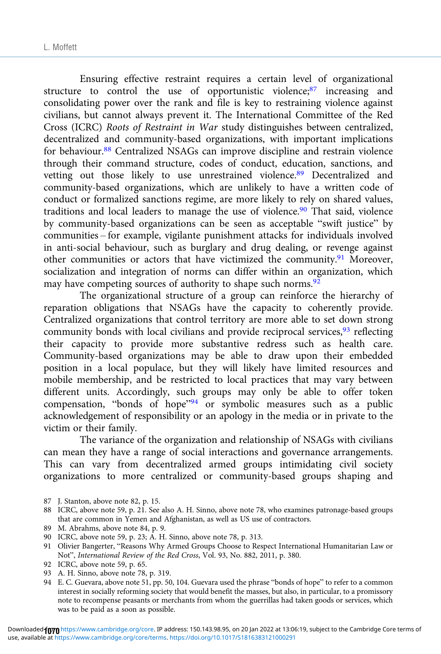Ensuring effective restraint requires a certain level of organizational structure to control the use of opportunistic violence;<sup>87</sup> increasing and consolidating power over the rank and file is key to restraining violence against civilians, but cannot always prevent it. The International Committee of the Red Cross (ICRC) Roots of Restraint in War study distinguishes between centralized, decentralized and community-based organizations, with important implications for behaviour.<sup>88</sup> Centralized NSAGs can improve discipline and restrain violence through their command structure, codes of conduct, education, sanctions, and vetting out those likely to use unrestrained violence.<sup>89</sup> Decentralized and community-based organizations, which are unlikely to have a written code of conduct or formalized sanctions regime, are more likely to rely on shared values, traditions and local leaders to manage the use of violence.<sup>90</sup> That said, violence by community-based organizations can be seen as acceptable "swift justice" by communities – for example, vigilante punishment attacks for individuals involved in anti-social behaviour, such as burglary and drug dealing, or revenge against other communities or actors that have victimized the community.<sup>91</sup> Moreover, socialization and integration of norms can differ within an organization, which may have competing sources of authority to shape such norms.<sup>92</sup>

The organizational structure of a group can reinforce the hierarchy of reparation obligations that NSAGs have the capacity to coherently provide. Centralized organizations that control territory are more able to set down strong community bonds with local civilians and provide reciprocal services,  $93$  reflecting their capacity to provide more substantive redress such as health care. Community-based organizations may be able to draw upon their embedded position in a local populace, but they will likely have limited resources and mobile membership, and be restricted to local practices that may vary between different units. Accordingly, such groups may only be able to offer token compensation, "bonds of hope"<sup>94</sup> or symbolic measures such as a public acknowledgement of responsibility or an apology in the media or in private to the victim or their family.

The variance of the organization and relationship of NSAGs with civilians can mean they have a range of social interactions and governance arrangements. This can vary from decentralized armed groups intimidating civil society organizations to more centralized or community-based groups shaping and

- 87 J. Stanton, above note 82, p. 15.
- 88 ICRC, above note 59, p. 21. See also A. H. Sinno, above note 78, who examines patronage-based groups that are common in Yemen and Afghanistan, as well as US use of contractors.
- 89 M. Abrahms, above note 84, p. 9.
- 90 ICRC, above note 59, p. 23; A. H. Sinno, above note 78, p. 313.
- 91 Olivier Bangerter, "Reasons Why Armed Groups Choose to Respect International Humanitarian Law or Not", International Review of the Red Cross, Vol. 93, No. 882, 2011, p. 380.
- 92 ICRC, above note 59, p. 65.
- 93 A. H. Sinno, above note 78, p. 319.
- 94 E. C. Guevara, above note 51, pp. 50, 104. Guevara used the phrase "bonds of hope" to refer to a common interest in socially reforming society that would benefit the masses, but also, in particular, to a promissory note to recompense peasants or merchants from whom the guerrillas had taken goods or services, which was to be paid as a soon as possible.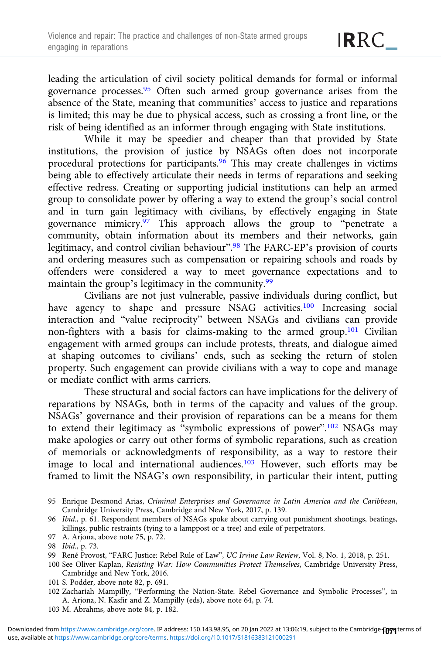leading the articulation of civil society political demands for formal or informal governance processes.95 Often such armed group governance arises from the absence of the State, meaning that communities' access to justice and reparations is limited; this may be due to physical access, such as crossing a front line, or the risk of being identified as an informer through engaging with State institutions.

While it may be speedier and cheaper than that provided by State institutions, the provision of justice by NSAGs often does not incorporate procedural protections for participants.<sup>96</sup> This may create challenges in victims being able to effectively articulate their needs in terms of reparations and seeking effective redress. Creating or supporting judicial institutions can help an armed group to consolidate power by offering a way to extend the group's social control and in turn gain legitimacy with civilians, by effectively engaging in State governance mimicry.97 This approach allows the group to "penetrate a community, obtain information about its members and their networks, gain legitimacy, and control civilian behaviour".<sup>98</sup> The FARC-EP's provision of courts and ordering measures such as compensation or repairing schools and roads by offenders were considered a way to meet governance expectations and to maintain the group's legitimacy in the community.99

Civilians are not just vulnerable, passive individuals during conflict, but have agency to shape and pressure NSAG activities.<sup>100</sup> Increasing social interaction and "value reciprocity" between NSAGs and civilians can provide non-fighters with a basis for claims-making to the armed group.101 Civilian engagement with armed groups can include protests, threats, and dialogue aimed at shaping outcomes to civilians' ends, such as seeking the return of stolen property. Such engagement can provide civilians with a way to cope and manage or mediate conflict with arms carriers.

These structural and social factors can have implications for the delivery of reparations by NSAGs, both in terms of the capacity and values of the group. NSAGs' governance and their provision of reparations can be a means for them to extend their legitimacy as "symbolic expressions of power".<sup>102</sup> NSAGs may make apologies or carry out other forms of symbolic reparations, such as creation of memorials or acknowledgments of responsibility, as a way to restore their image to local and international audiences.103 However, such efforts may be framed to limit the NSAG's own responsibility, in particular their intent, putting

- 101 S. Podder, above note 82, p. 691.
- 102 Zachariah Mampilly, "Performing the Nation-State: Rebel Governance and Symbolic Processes", in A. Arjona, N. Kasfir and Z. Mampilly (eds), above note 64, p. 74.
- 103 M. Abrahms, above note 84, p. 182.

<sup>95</sup> Enrique Desmond Arias, Criminal Enterprises and Governance in Latin America and the Caribbean, Cambridge University Press, Cambridge and New York, 2017, p. 139.

<sup>96</sup> Ibid., p. 61. Respondent members of NSAGs spoke about carrying out punishment shootings, beatings, killings, public restraints (tying to a lamppost or a tree) and exile of perpetrators.

<sup>97</sup> A. Arjona, above note 75, p. 72.

<sup>98</sup> Ibid., p. 73.

<sup>99</sup> René Provost, "FARC Justice: Rebel Rule of Law", UC Irvine Law Review, Vol. 8, No. 1, 2018, p. 251.

<sup>100</sup> See Oliver Kaplan, Resisting War: How Communities Protect Themselves, Cambridge University Press, Cambridge and New York, 2016.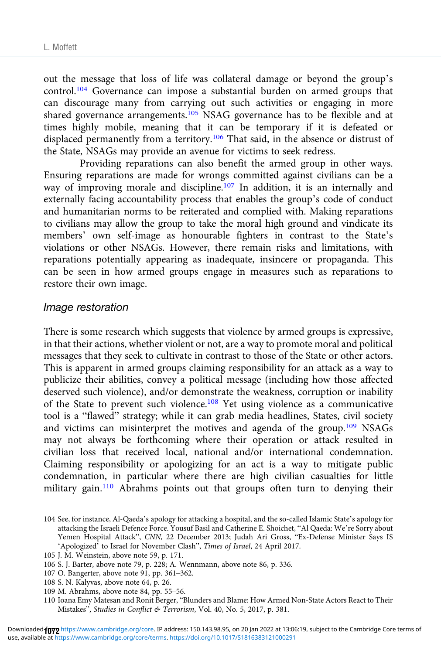out the message that loss of life was collateral damage or beyond the group's control.<sup>104</sup> Governance can impose a substantial burden on armed groups that can discourage many from carrying out such activities or engaging in more shared governance arrangements.<sup>105</sup> NSAG governance has to be flexible and at times highly mobile, meaning that it can be temporary if it is defeated or displaced permanently from a territory.106 That said, in the absence or distrust of the State, NSAGs may provide an avenue for victims to seek redress.

Providing reparations can also benefit the armed group in other ways. Ensuring reparations are made for wrongs committed against civilians can be a way of improving morale and discipline.107 In addition, it is an internally and externally facing accountability process that enables the group's code of conduct and humanitarian norms to be reiterated and complied with. Making reparations to civilians may allow the group to take the moral high ground and vindicate its members' own self-image as honourable fighters in contrast to the State's violations or other NSAGs. However, there remain risks and limitations, with reparations potentially appearing as inadequate, insincere or propaganda. This can be seen in how armed groups engage in measures such as reparations to restore their own image.

#### Image restoration

There is some research which suggests that violence by armed groups is expressive, in that their actions, whether violent or not, are a way to promote moral and political messages that they seek to cultivate in contrast to those of the State or other actors. This is apparent in armed groups claiming responsibility for an attack as a way to publicize their abilities, convey a political message (including how those affected deserved such violence), and/or demonstrate the weakness, corruption or inability of the State to prevent such violence.108 Yet using violence as a communicative tool is a "flawed" strategy; while it can grab media headlines, States, civil society and victims can misinterpret the motives and agenda of the group.109 NSAGs may not always be forthcoming where their operation or attack resulted in civilian loss that received local, national and/or international condemnation. Claiming responsibility or apologizing for an act is a way to mitigate public condemnation, in particular where there are high civilian casualties for little military gain.<sup>110</sup> Abrahms points out that groups often turn to denying their

- 107 O. Bangerter, above note 91, pp. 361–362.
- 108 S. N. Kalyvas, above note 64, p. 26.
- 109 M. Abrahms, above note 84, pp. 55–56.
- 110 Ioana Emy Matesan and Ronit Berger, "Blunders and Blame: How Armed Non-State Actors React to Their Mistakes", Studies in Conflict & Terrorism, Vol. 40, No. 5, 2017, p. 381.

<sup>104</sup> See, for instance, Al-Qaeda's apology for attacking a hospital, and the so-called Islamic State's apology for attacking the Israeli Defence Force. Yousuf Basil and Catherine E. Shoichet, "Al Qaeda: We're Sorry about Yemen Hospital Attack", CNN, 22 December 2013; Judah Ari Gross, "Ex-Defense Minister Says IS 'Apologized' to Israel for November Clash", Times of Israel, 24 April 2017.

<sup>105</sup> J. M. Weinstein, above note 59, p. 171.

<sup>106</sup> S. J. Barter, above note 79, p. 228; A. Wennmann, above note 86, p. 336.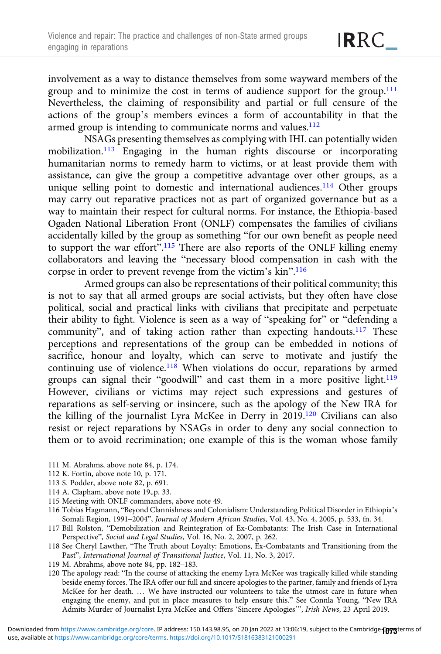involvement as a way to distance themselves from some wayward members of the group and to minimize the cost in terms of audience support for the group.<sup>111</sup> Nevertheless, the claiming of responsibility and partial or full censure of the actions of the group's members evinces a form of accountability in that the armed group is intending to communicate norms and values.<sup>112</sup>

NSAGs presenting themselves as complying with IHL can potentially widen mobilization.113 Engaging in the human rights discourse or incorporating humanitarian norms to remedy harm to victims, or at least provide them with assistance, can give the group a competitive advantage over other groups, as a unique selling point to domestic and international audiences.<sup>114</sup> Other groups may carry out reparative practices not as part of organized governance but as a way to maintain their respect for cultural norms. For instance, the Ethiopia-based Ogaden National Liberation Front (ONLF) compensates the families of civilians accidentally killed by the group as something "for our own benefit as people need to support the war effort".<sup>115</sup> There are also reports of the ONLF killing enemy collaborators and leaving the "necessary blood compensation in cash with the corpse in order to prevent revenge from the victim's kin". 116

Armed groups can also be representations of their political community; this is not to say that all armed groups are social activists, but they often have close political, social and practical links with civilians that precipitate and perpetuate their ability to fight. Violence is seen as a way of "speaking for" or "defending a community", and of taking action rather than expecting handouts.<sup>117</sup> These perceptions and representations of the group can be embedded in notions of sacrifice, honour and loyalty, which can serve to motivate and justify the continuing use of violence.<sup>118</sup> When violations do occur, reparations by armed groups can signal their "goodwill" and cast them in a more positive light.119 However, civilians or victims may reject such expressions and gestures of reparations as self-serving or insincere, such as the apology of the New IRA for the killing of the journalist Lyra McKee in Derry in 2019.120 Civilians can also resist or reject reparations by NSAGs in order to deny any social connection to them or to avoid recrimination; one example of this is the woman whose family

- 111 M. Abrahms, above note 84, p. 174.
- 112 K. Fortin, above note 10, p. 171.
- 113 S. Podder, above note 82, p. 691.
- 114 A. Clapham, above note 19,.p. 33.
- 115 Meeting with ONLF commanders, above note 49.
- 116 Tobias Hagmann, "Beyond Clannishness and Colonialism: Understanding Political Disorder in Ethiopia's Somali Region, 1991–2004", Journal of Modern African Studies, Vol. 43, No. 4, 2005, p. 533, fn. 34.
- 117 Bill Rolston, "Demobilization and Reintegration of Ex-Combatants: The Irish Case in International Perspective", Social and Legal Studies, Vol. 16, No. 2, 2007, p. 262.
- 118 See Cheryl Lawther, "The Truth about Loyalty: Emotions, Ex-Combatants and Transitioning from the Past", International Journal of Transitional Justice, Vol. 11, No. 3, 2017.
- 119 M. Abrahms, above note 84, pp. 182–183.
- 120 The apology read: "In the course of attacking the enemy Lyra McKee was tragically killed while standing beside enemy forces. The IRA offer our full and sincere apologies to the partner, family and friends of Lyra McKee for her death. … We have instructed our volunteers to take the utmost care in future when engaging the enemy, and put in place measures to help ensure this." See Connla Young, "New IRA Admits Murder of Journalist Lyra McKee and Offers 'Sincere Apologies'", Irish News, 23 April 2019.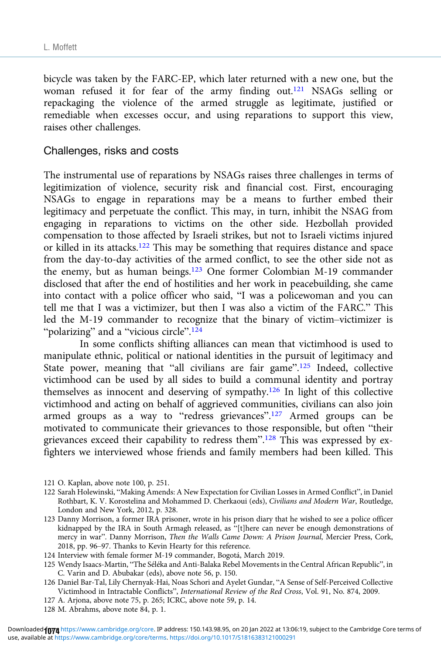bicycle was taken by the FARC-EP, which later returned with a new one, but the woman refused it for fear of the army finding out.<sup>121</sup> NSAGs selling or repackaging the violence of the armed struggle as legitimate, justified or remediable when excesses occur, and using reparations to support this view, raises other challenges.

#### Challenges, risks and costs

The instrumental use of reparations by NSAGs raises three challenges in terms of legitimization of violence, security risk and financial cost. First, encouraging NSAGs to engage in reparations may be a means to further embed their legitimacy and perpetuate the conflict. This may, in turn, inhibit the NSAG from engaging in reparations to victims on the other side. Hezbollah provided compensation to those affected by Israeli strikes, but not to Israeli victims injured or killed in its attacks.122 This may be something that requires distance and space from the day-to-day activities of the armed conflict, to see the other side not as the enemy, but as human beings.<sup>123</sup> One former Colombian M-19 commander disclosed that after the end of hostilities and her work in peacebuilding, she came into contact with a police officer who said, "I was a policewoman and you can tell me that I was a victimizer, but then I was also a victim of the FARC." This led the M-19 commander to recognize that the binary of victim–victimizer is "polarizing" and a "vicious circle".<sup>124</sup>

In some conflicts shifting alliances can mean that victimhood is used to manipulate ethnic, political or national identities in the pursuit of legitimacy and State power, meaning that "all civilians are fair game".<sup>125</sup> Indeed, collective victimhood can be used by all sides to build a communal identity and portray themselves as innocent and deserving of sympathy.126 In light of this collective victimhood and acting on behalf of aggrieved communities, civilians can also join armed groups as a way to "redress grievances".<sup>127</sup> Armed groups can be motivated to communicate their grievances to those responsible, but often "their grievances exceed their capability to redress them".<sup>128</sup> This was expressed by exfighters we interviewed whose friends and family members had been killed. This

- 121 O. Kaplan, above note 100, p. 251.
- 122 Sarah Holewinski, "Making Amends: A New Expectation for Civilian Losses in Armed Conflict", in Daniel Rothbart, K. V. Korostelina and Mohammed D. Cherkaoui (eds), Civilians and Modern War, Routledge, London and New York, 2012, p. 328.
- 123 Danny Morrison, a former IRA prisoner, wrote in his prison diary that he wished to see a police officer kidnapped by the IRA in South Armagh released, as "[t]here can never be enough demonstrations of mercy in war". Danny Morrison, Then the Walls Came Down: A Prison Journal, Mercier Press, Cork, 2018, pp. 96–97. Thanks to Kevin Hearty for this reference.
- 124 Interview with female former M-19 commander, Bogotá, March 2019.
- 125 Wendy Isaacs-Martin, "The Séléka and Anti-Balaka Rebel Movements in the Central African Republic", in C. Varin and D. Abubakar (eds), above note 56, p. 150.
- 126 Daniel Bar-Tal, Lily Chernyak-Hai, Noas Schori and Ayelet Gundar, "A Sense of Self-Perceived Collective Victimhood in Intractable Conflicts", International Review of the Red Cross, Vol. 91, No. 874, 2009.
- 127 A. Arjona, above note 75, p. 265; ICRC, above note 59, p. 14.
- 128 M. Abrahms, above note 84, p. 1.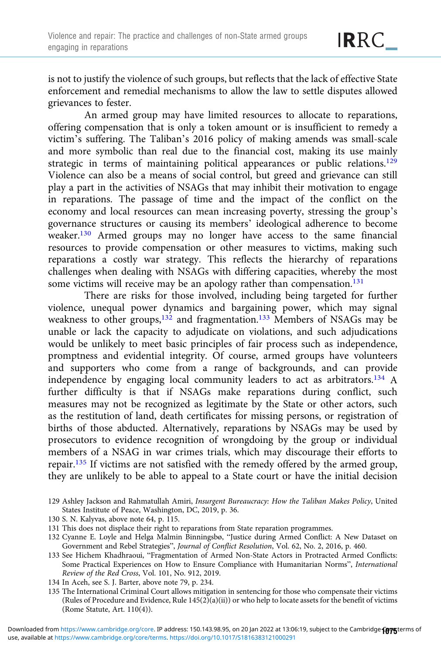is not to justify the violence of such groups, but reflects that the lack of effective State enforcement and remedial mechanisms to allow the law to settle disputes allowed grievances to fester.

An armed group may have limited resources to allocate to reparations, offering compensation that is only a token amount or is insufficient to remedy a victim's suffering. The Taliban's 2016 policy of making amends was small-scale and more symbolic than real due to the financial cost, making its use mainly strategic in terms of maintaining political appearances or public relations.<sup>129</sup> Violence can also be a means of social control, but greed and grievance can still play a part in the activities of NSAGs that may inhibit their motivation to engage in reparations. The passage of time and the impact of the conflict on the economy and local resources can mean increasing poverty, stressing the group's governance structures or causing its members' ideological adherence to become weaker.<sup>130</sup> Armed groups may no longer have access to the same financial resources to provide compensation or other measures to victims, making such reparations a costly war strategy. This reflects the hierarchy of reparations challenges when dealing with NSAGs with differing capacities, whereby the most some victims will receive may be an apology rather than compensation.<sup>131</sup>

There are risks for those involved, including being targeted for further violence, unequal power dynamics and bargaining power, which may signal weakness to other groups,<sup>132</sup> and fragmentation.<sup>133</sup> Members of NSAGs may be unable or lack the capacity to adjudicate on violations, and such adjudications would be unlikely to meet basic principles of fair process such as independence, promptness and evidential integrity. Of course, armed groups have volunteers and supporters who come from a range of backgrounds, and can provide independence by engaging local community leaders to act as arbitrators.134 A further difficulty is that if NSAGs make reparations during conflict, such measures may not be recognized as legitimate by the State or other actors, such as the restitution of land, death certificates for missing persons, or registration of births of those abducted. Alternatively, reparations by NSAGs may be used by prosecutors to evidence recognition of wrongdoing by the group or individual members of a NSAG in war crimes trials, which may discourage their efforts to repair.135 If victims are not satisfied with the remedy offered by the armed group, they are unlikely to be able to appeal to a State court or have the initial decision

- 129 Ashley Jackson and Rahmatullah Amiri, Insurgent Bureaucracy: How the Taliban Makes Policy, United States Institute of Peace, Washington, DC, 2019, p. 36.
- 130 S. N. Kalyvas, above note 64, p. 115.
- 131 This does not displace their right to reparations from State reparation programmes.
- 132 Cyanne E. Loyle and Helga Malmin Binningsbø, "Justice during Armed Conflict: A New Dataset on Government and Rebel Strategies", Journal of Conflict Resolution, Vol. 62, No. 2, 2016, p. 460.
- 133 See Hichem Khadhraoui, "Fragmentation of Armed Non-State Actors in Protracted Armed Conflicts: Some Practical Experiences on How to Ensure Compliance with Humanitarian Norms", International Review of the Red Cross, Vol. 101, No. 912, 2019.
- 134 In Aceh, see S. J. Barter, above note 79, p. 234.
- 135 The International Criminal Court allows mitigation in sentencing for those who compensate their victims (Rules of Procedure and Evidence, Rule  $145(2)(a)(ii)$ ) or who help to locate assets for the benefit of victims (Rome Statute, Art. 110(4)).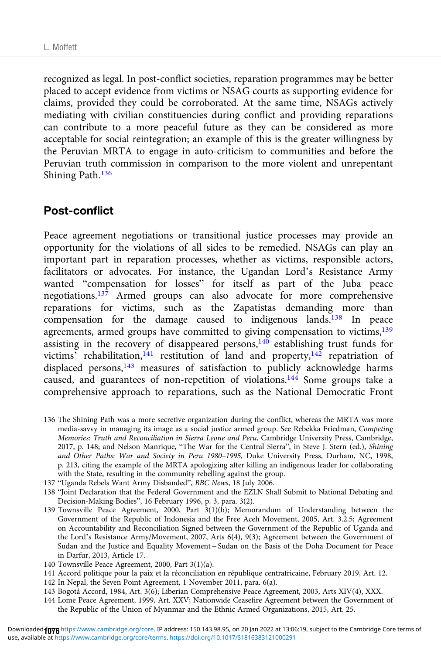recognized as legal. In post-conflict societies, reparation programmes may be better placed to accept evidence from victims or NSAG courts as supporting evidence for claims, provided they could be corroborated. At the same time, NSAGs actively mediating with civilian constituencies during conflict and providing reparations can contribute to a more peaceful future as they can be considered as more acceptable for social reintegration; an example of this is the greater willingness by the Peruvian MRTA to engage in auto-criticism to communities and before the Peruvian truth commission in comparison to the more violent and unrepentant Shining Path.136

## Post-conflict

Peace agreement negotiations or transitional justice processes may provide an opportunity for the violations of all sides to be remedied. NSAGs can play an important part in reparation processes, whether as victims, responsible actors, facilitators or advocates. For instance, the Ugandan Lord's Resistance Army wanted "compensation for losses" for itself as part of the Juba peace negotiations.<sup>137</sup> Armed groups can also advocate for more comprehensive reparations for victims, such as the Zapatistas demanding more than compensation for the damage caused to indigenous lands.138 In peace agreements, armed groups have committed to giving compensation to victims,<sup>139</sup> assisting in the recovery of disappeared persons, $140$  establishing trust funds for victims' rehabilitation,<sup>141</sup> restitution of land and property,<sup>142</sup> repatriation of displaced persons,<sup>143</sup> measures of satisfaction to publicly acknowledge harms caused, and guarantees of non-repetition of violations.144 Some groups take a comprehensive approach to reparations, such as the National Democratic Front

136 The Shining Path was a more secretive organization during the conflict, whereas the MRTA was more media-savvy in managing its image as a social justice armed group. See Rebekka Friedman, Competing Memories: Truth and Reconciliation in Sierra Leone and Peru, Cambridge University Press, Cambridge, 2017, p. 148; and Nelson Manrique, "The War for the Central Sierra", in Steve J. Stern (ed.), Shining and Other Paths: War and Society in Peru 1980–1995, Duke University Press, Durham, NC, 1998, p. 213, citing the example of the MRTA apologizing after killing an indigenous leader for collaborating with the State, resulting in the community rebelling against the group.

137 "Uganda Rebels Want Army Disbanded", BBC News, 18 July 2006.

138 "Joint Declaration that the Federal Government and the EZLN Shall Submit to National Debating and Decision-Making Bodies", 16 February 1996, p. 3, para. 3(2).

- 139 Townsville Peace Agreement, 2000, Part 3(1)(b); Memorandum of Understanding between the Government of the Republic of Indonesia and the Free Aceh Movement, 2005, Art. 3.2.5; Agreement on Accountability and Reconciliation Signed between the Government of the Republic of Uganda and the Lord's Resistance Army/Movement, 2007, Arts 6(4), 9(3); Agreement between the Government of Sudan and the Justice and Equality Movement – Sudan on the Basis of the Doha Document for Peace in Darfur, 2013, Article 17.
- 140 Townsville Peace Agreement, 2000, Part 3(1)(a).
- 141 Accord politique pour la paix et la réconciliation en république centrafricaine, February 2019, Art. 12.
- 142 In Nepal, the Seven Point Agreement, 1 November 2011, para. 6(a).
- 143 Bogotá Accord, 1984, Art. 3(6); Liberian Comprehensive Peace Agreement, 2003, Arts XIV(4), XXX.
- 144 Lome Peace Agreement, 1999, Art. XXV; Nationwide Ceasefire Agreement between the Government of the Republic of the Union of Myanmar and the Ethnic Armed Organizations, 2015, Art. 25.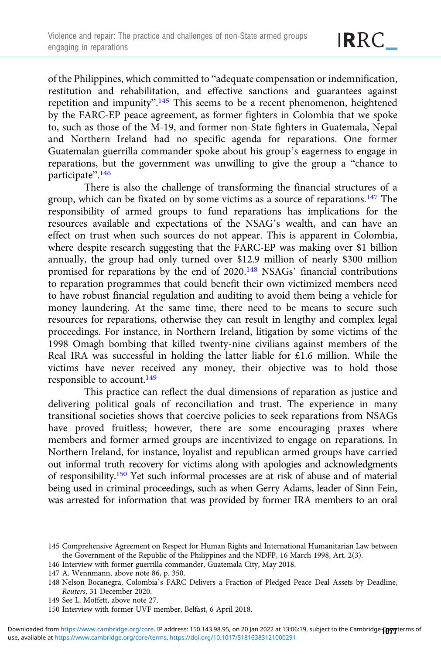of the Philippines, which committed to "adequate compensation or indemnification, restitution and rehabilitation, and effective sanctions and guarantees against repetition and impunity".<sup>145</sup> This seems to be a recent phenomenon, heightened by the FARC-EP peace agreement, as former fighters in Colombia that we spoke to, such as those of the M-19, and former non-State fighters in Guatemala, Nepal and Northern Ireland had no specific agenda for reparations. One former Guatemalan guerrilla commander spoke about his group's eagerness to engage in reparations, but the government was unwilling to give the group a "chance to participate". 146

There is also the challenge of transforming the financial structures of a group, which can be fixated on by some victims as a source of reparations.<sup>147</sup> The responsibility of armed groups to fund reparations has implications for the resources available and expectations of the NSAG's wealth, and can have an effect on trust when such sources do not appear. This is apparent in Colombia, where despite research suggesting that the FARC-EP was making over \$1 billion annually, the group had only turned over \$12.9 million of nearly \$300 million promised for reparations by the end of 2020.148 NSAGs' financial contributions to reparation programmes that could benefit their own victimized members need to have robust financial regulation and auditing to avoid them being a vehicle for money laundering. At the same time, there need to be means to secure such resources for reparations, otherwise they can result in lengthy and complex legal proceedings. For instance, in Northern Ireland, litigation by some victims of the 1998 Omagh bombing that killed twenty-nine civilians against members of the Real IRA was successful in holding the latter liable for £1.6 million. While the victims have never received any money, their objective was to hold those responsible to account.149

This practice can reflect the dual dimensions of reparation as justice and delivering political goals of reconciliation and trust. The experience in many transitional societies shows that coercive policies to seek reparations from NSAGs have proved fruitless; however, there are some encouraging praxes where members and former armed groups are incentivized to engage on reparations. In Northern Ireland, for instance, loyalist and republican armed groups have carried out informal truth recovery for victims along with apologies and acknowledgments of responsibility.150 Yet such informal processes are at risk of abuse and of material being used in criminal proceedings, such as when Gerry Adams, leader of Sinn Fein, was arrested for information that was provided by former IRA members to an oral

<sup>145</sup> Comprehensive Agreement on Respect for Human Rights and International Humanitarian Law between the Government of the Republic of the Philippines and the NDFP, 16 March 1998, Art. 2(3).

<sup>146</sup> Interview with former guerrilla commander, Guatemala City, May 2018.

<sup>147</sup> A. Wennmann, above note 86, p. 350.

<sup>148</sup> Nelson Bocanegra, Colombia's FARC Delivers a Fraction of Pledged Peace Deal Assets by Deadline, Reuters, 31 December 2020.

<sup>149</sup> See L. Moffett, above note 27.

<sup>150</sup> Interview with former UVF member, Belfast, 6 April 2018.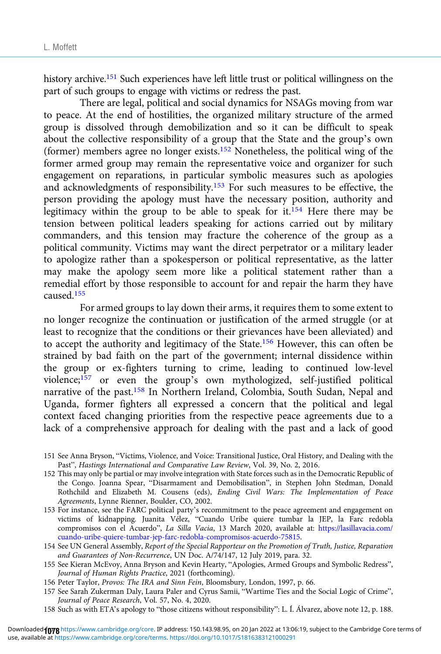history archive.<sup>151</sup> Such experiences have left little trust or political willingness on the part of such groups to engage with victims or redress the past.

There are legal, political and social dynamics for NSAGs moving from war to peace. At the end of hostilities, the organized military structure of the armed group is dissolved through demobilization and so it can be difficult to speak about the collective responsibility of a group that the State and the group's own (former) members agree no longer exists.152 Nonetheless, the political wing of the former armed group may remain the representative voice and organizer for such engagement on reparations, in particular symbolic measures such as apologies and acknowledgments of responsibility.<sup>153</sup> For such measures to be effective, the person providing the apology must have the necessary position, authority and legitimacy within the group to be able to speak for it.154 Here there may be tension between political leaders speaking for actions carried out by military commanders, and this tension may fracture the coherence of the group as a political community. Victims may want the direct perpetrator or a military leader to apologize rather than a spokesperson or political representative, as the latter may make the apology seem more like a political statement rather than a remedial effort by those responsible to account for and repair the harm they have caused.155

For armed groups to lay down their arms, it requires them to some extent to no longer recognize the continuation or justification of the armed struggle (or at least to recognize that the conditions or their grievances have been alleviated) and to accept the authority and legitimacy of the State.156 However, this can often be strained by bad faith on the part of the government; internal dissidence within the group or ex-fighters turning to crime, leading to continued low-level violence;157 or even the group's own mythologized, self-justified political narrative of the past.158 In Northern Ireland, Colombia, South Sudan, Nepal and Uganda, former fighters all expressed a concern that the political and legal context faced changing priorities from the respective peace agreements due to a lack of a comprehensive approach for dealing with the past and a lack of good

- 151 See Anna Bryson, "Victims, Violence, and Voice: Transitional Justice, Oral History, and Dealing with the Past", Hastings International and Comparative Law Review, Vol. 39, No. 2, 2016.
- 152 This may only be partial or may involve integration with State forces such as in the Democratic Republic of the Congo. Joanna Spear, "Disarmament and Demobilisation", in Stephen John Stedman, Donald Rothchild and Elizabeth M. Cousens (eds), Ending Civil Wars: The Implementation of Peace Agreements, Lynne Rienner, Boulder, CO, 2002.
- 153 For instance, see the FARC political party's recommitment to the peace agreement and engagement on victims of kidnapping. Juanita Vélez, "Cuando Uribe quiere tumbar la JEP, la Farc redobla compromisos con el Acuerdo", La Silla Vacia, 13 March 2020, available at: [https://lasillavacia.com/](https://lasillavacia.com/cuando-uribe-quiere-tumbar-jep-farc-redobla-compromisos-acuerdo-75815) [cuando-uribe-quiere-tumbar-jep-farc-redobla-compromisos-acuerdo-75815](https://lasillavacia.com/cuando-uribe-quiere-tumbar-jep-farc-redobla-compromisos-acuerdo-75815).
- 154 See UN General Assembly, Report of the Special Rapporteur on the Promotion of Truth, Justice, Reparation and Guarantees of Non-Recurrence, UN Doc. A/74/147, 12 July 2019, para. 32.
- 155 See Kieran McEvoy, Anna Bryson and Kevin Hearty, "Apologies, Armed Groups and Symbolic Redress", Journal of Human Rights Practice, 2021 (forthcoming).
- 156 Peter Taylor, Provos: The IRA and Sinn Fein, Bloomsbury, London, 1997, p. 66.
- 157 See Sarah Zukerman Daly, Laura Paler and Cyrus Samii, "Wartime Ties and the Social Logic of Crime", Journal of Peace Research, Vol. 57, No. 4, 2020.
- 158 Such as with ETA's apology to "those citizens without responsibility": L. Í. Álvarez, above note 12, p. 188.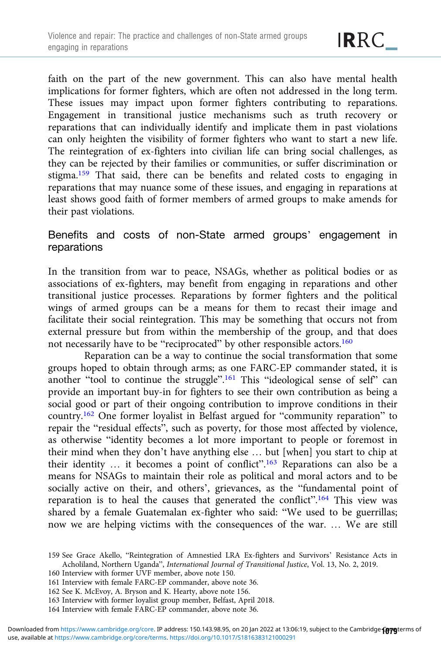faith on the part of the new government. This can also have mental health implications for former fighters, which are often not addressed in the long term. These issues may impact upon former fighters contributing to reparations. Engagement in transitional justice mechanisms such as truth recovery or reparations that can individually identify and implicate them in past violations can only heighten the visibility of former fighters who want to start a new life. The reintegration of ex-fighters into civilian life can bring social challenges, as they can be rejected by their families or communities, or suffer discrimination or stigma.159 That said, there can be benefits and related costs to engaging in reparations that may nuance some of these issues, and engaging in reparations at least shows good faith of former members of armed groups to make amends for their past violations.

## Benefits and costs of non-State armed groups' engagement in reparations

In the transition from war to peace, NSAGs, whether as political bodies or as associations of ex-fighters, may benefit from engaging in reparations and other transitional justice processes. Reparations by former fighters and the political wings of armed groups can be a means for them to recast their image and facilitate their social reintegration. This may be something that occurs not from external pressure but from within the membership of the group, and that does not necessarily have to be "reciprocated" by other responsible actors.160

Reparation can be a way to continue the social transformation that some groups hoped to obtain through arms; as one FARC-EP commander stated, it is another "tool to continue the struggle".<sup>161</sup> This "ideological sense of self" can provide an important buy-in for fighters to see their own contribution as being a social good or part of their ongoing contribution to improve conditions in their country.162 One former loyalist in Belfast argued for "community reparation" to repair the "residual effects", such as poverty, for those most affected by violence, as otherwise "identity becomes a lot more important to people or foremost in their mind when they don't have anything else … but [when] you start to chip at their identity ... it becomes a point of conflict".<sup>163</sup> Reparations can also be a means for NSAGs to maintain their role as political and moral actors and to be socially active on their, and others', grievances, as the "fundamental point of reparation is to heal the causes that generated the conflict".<sup>164</sup> This view was shared by a female Guatemalan ex-fighter who said: "We used to be guerrillas; now we are helping victims with the consequences of the war. … We are still

- 160 Interview with former UVF member, above note 150.
- 161 Interview with female FARC-EP commander, above note 36.
- 162 See K. McEvoy, A. Bryson and K. Hearty, above note 156.
- 163 Interview with former loyalist group member, Belfast, April 2018.
- 164 Interview with female FARC-EP commander, above note 36.

<sup>159</sup> See Grace Akello, "Reintegration of Amnestied LRA Ex-fighters and Survivors' Resistance Acts in Acholiland, Northern Uganda", International Journal of Transitional Justice, Vol. 13, No. 2, 2019.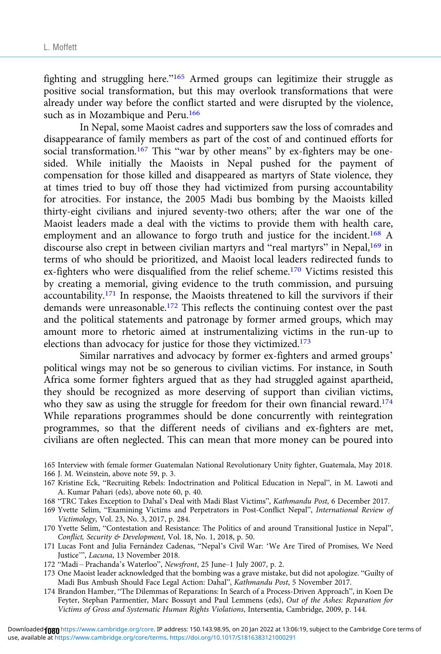fighting and struggling here."<sup>165</sup> Armed groups can legitimize their struggle as positive social transformation, but this may overlook transformations that were already under way before the conflict started and were disrupted by the violence, such as in Mozambique and Peru.<sup>166</sup>

In Nepal, some Maoist cadres and supporters saw the loss of comrades and disappearance of family members as part of the cost of and continued efforts for social transformation.<sup>167</sup> This "war by other means" by ex-fighters may be onesided. While initially the Maoists in Nepal pushed for the payment of compensation for those killed and disappeared as martyrs of State violence, they at times tried to buy off those they had victimized from pursing accountability for atrocities. For instance, the 2005 Madi bus bombing by the Maoists killed thirty-eight civilians and injured seventy-two others; after the war one of the Maoist leaders made a deal with the victims to provide them with health care, employment and an allowance to forgo truth and justice for the incident.<sup>168</sup> A discourse also crept in between civilian martyrs and "real martyrs" in Nepal,<sup>169</sup> in terms of who should be prioritized, and Maoist local leaders redirected funds to ex-fighters who were disqualified from the relief scheme.170 Victims resisted this by creating a memorial, giving evidence to the truth commission, and pursuing accountability.<sup>171</sup> In response, the Maoists threatened to kill the survivors if their demands were unreasonable.<sup>172</sup> This reflects the continuing contest over the past and the political statements and patronage by former armed groups, which may amount more to rhetoric aimed at instrumentalizing victims in the run-up to elections than advocacy for justice for those they victimized.173

Similar narratives and advocacy by former ex-fighters and armed groups' political wings may not be so generous to civilian victims. For instance, in South Africa some former fighters argued that as they had struggled against apartheid, they should be recognized as more deserving of support than civilian victims, who they saw as using the struggle for freedom for their own financial reward.<sup>174</sup> While reparations programmes should be done concurrently with reintegration programmes, so that the different needs of civilians and ex-fighters are met, civilians are often neglected. This can mean that more money can be poured into

- 167 Kristine Eck, "Recruiting Rebels: Indoctrination and Political Education in Nepal", in M. Lawoti and A. Kumar Pahari (eds), above note 60, p. 40.
- 168 "TRC Takes Exception to Dahal's Deal with Madi Blast Victims", Kathmandu Post, 6 December 2017.
- 169 Yvette Selim, "Examining Victims and Perpetrators in Post-Conflict Nepal", International Review of Victimology, Vol. 23, No. 3, 2017, p. 284.
- 170 Yvette Selim, "Contestation and Resistance: The Politics of and around Transitional Justice in Nepal", Conflict, Security & Development, Vol. 18, No. 1, 2018, p. 50.
- 171 Lucas Font and Julia Fernández Cadenas, "Nepal's Civil War: 'We Are Tired of Promises, We Need Justice'", Lacuna, 13 November 2018.
- 172 "Madi Prachanda's Waterloo", Newsfront, 25 June–1 July 2007, p. 2.
- 173 One Maoist leader acknowledged that the bombing was a grave mistake, but did not apologize. "Guilty of Madi Bus Ambush Should Face Legal Action: Dahal", Kathmandu Post, 5 November 2017.
- 174 Brandon Hamber, "The Dilemmas of Reparations: In Search of a Process-Driven Approach", in Koen De Feyter, Stephan Parmentier, Marc Bossuyt and Paul Lemmens (eds), Out of the Ashes: Reparation for Victims of Gross and Systematic Human Rights Violations, Intersentia, Cambridge, 2009, p. 144.

<sup>165</sup> Interview with female former Guatemalan National Revolutionary Unity fighter, Guatemala, May 2018. 166 J. M. Weinstein, above note 59, p. 3.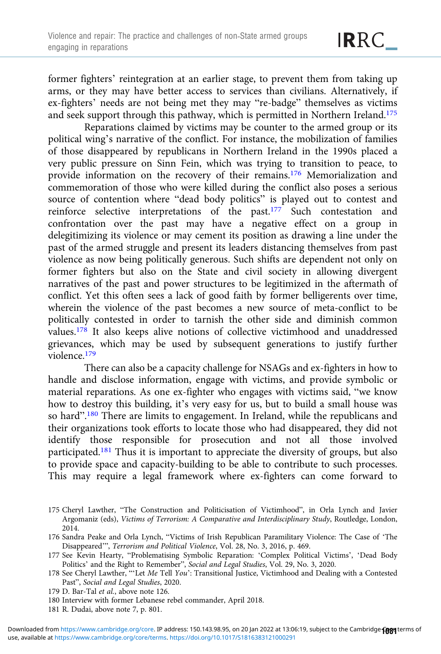former fighters' reintegration at an earlier stage, to prevent them from taking up arms, or they may have better access to services than civilians. Alternatively, if ex-fighters' needs are not being met they may "re-badge" themselves as victims and seek support through this pathway, which is permitted in Northern Ireland.175

Reparations claimed by victims may be counter to the armed group or its political wing's narrative of the conflict. For instance, the mobilization of families of those disappeared by republicans in Northern Ireland in the 1990s placed a very public pressure on Sinn Fein, which was trying to transition to peace, to provide information on the recovery of their remains.176 Memorialization and commemoration of those who were killed during the conflict also poses a serious source of contention where "dead body politics" is played out to contest and reinforce selective interpretations of the past.<sup>177</sup> Such contestation and confrontation over the past may have a negative effect on a group in delegitimizing its violence or may cement its position as drawing a line under the past of the armed struggle and present its leaders distancing themselves from past violence as now being politically generous. Such shifts are dependent not only on former fighters but also on the State and civil society in allowing divergent narratives of the past and power structures to be legitimized in the aftermath of conflict. Yet this often sees a lack of good faith by former belligerents over time, wherein the violence of the past becomes a new source of meta-conflict to be politically contested in order to tarnish the other side and diminish common values.178 It also keeps alive notions of collective victimhood and unaddressed grievances, which may be used by subsequent generations to justify further violence.179

There can also be a capacity challenge for NSAGs and ex-fighters in how to handle and disclose information, engage with victims, and provide symbolic or material reparations. As one ex-fighter who engages with victims said, "we know how to destroy this building, it's very easy for us, but to build a small house was so hard".<sup>180</sup> There are limits to engagement. In Ireland, while the republicans and their organizations took efforts to locate those who had disappeared, they did not identify those responsible for prosecution and not all those involved participated.<sup>181</sup> Thus it is important to appreciate the diversity of groups, but also to provide space and capacity-building to be able to contribute to such processes. This may require a legal framework where ex-fighters can come forward to

- 175 Cheryl Lawther, "The Construction and Politicisation of Victimhood", in Orla Lynch and Javier Argomaniz (eds), Victims of Terrorism: A Comparative and Interdisciplinary Study, Routledge, London, 2014.
- 176 Sandra Peake and Orla Lynch, "Victims of Irish Republican Paramilitary Violence: The Case of 'The Disappeared'", Terrorism and Political Violence, Vol. 28, No. 3, 2016, p. 469.
- 177 See Kevin Hearty, "Problematising Symbolic Reparation: 'Complex Political Victims', 'Dead Body Politics' and the Right to Remember", Social and Legal Studies, Vol. 29, No. 3, 2020.
- 178 See Cheryl Lawther, ""Let Me Tell You': Transitional Justice, Victimhood and Dealing with a Contested Past", Social and Legal Studies, 2020.
- 179 D. Bar-Tal et al., above note 126.
- 180 Interview with former Lebanese rebel commander, April 2018.
- 181 R. Dudai, above note 7, p. 801.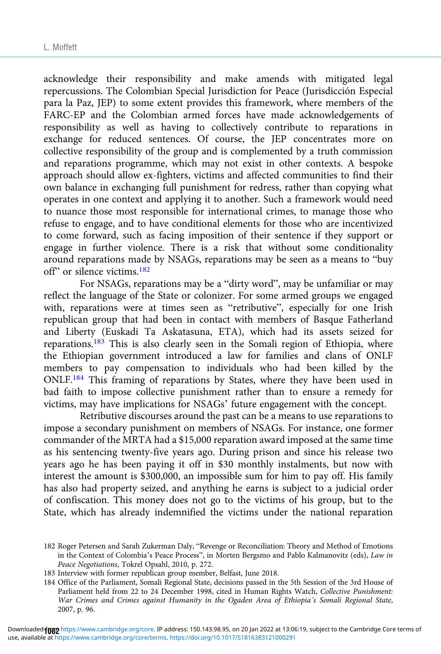acknowledge their responsibility and make amends with mitigated legal repercussions. The Colombian Special Jurisdiction for Peace (Jurisdicción Especial para la Paz, JEP) to some extent provides this framework, where members of the FARC-EP and the Colombian armed forces have made acknowledgements of responsibility as well as having to collectively contribute to reparations in exchange for reduced sentences. Of course, the JEP concentrates more on collective responsibility of the group and is complemented by a truth commission and reparations programme, which may not exist in other contexts. A bespoke approach should allow ex-fighters, victims and affected communities to find their own balance in exchanging full punishment for redress, rather than copying what operates in one context and applying it to another. Such a framework would need to nuance those most responsible for international crimes, to manage those who refuse to engage, and to have conditional elements for those who are incentivized to come forward, such as facing imposition of their sentence if they support or engage in further violence. There is a risk that without some conditionality around reparations made by NSAGs, reparations may be seen as a means to "buy off" or silence victims.182

For NSAGs, reparations may be a "dirty word", may be unfamiliar or may reflect the language of the State or colonizer. For some armed groups we engaged with, reparations were at times seen as "retributive", especially for one Irish republican group that had been in contact with members of Basque Fatherland and Liberty (Euskadi Ta Askatasuna, ETA), which had its assets seized for reparations.<sup>183</sup> This is also clearly seen in the Somali region of Ethiopia, where the Ethiopian government introduced a law for families and clans of ONLF members to pay compensation to individuals who had been killed by the ONLF.184 This framing of reparations by States, where they have been used in bad faith to impose collective punishment rather than to ensure a remedy for victims, may have implications for NSAGs' future engagement with the concept.

Retributive discourses around the past can be a means to use reparations to impose a secondary punishment on members of NSAGs. For instance, one former commander of the MRTA had a \$15,000 reparation award imposed at the same time as his sentencing twenty-five years ago. During prison and since his release two years ago he has been paying it off in \$30 monthly instalments, but now with interest the amount is \$300,000, an impossible sum for him to pay off. His family has also had property seized, and anything he earns is subject to a judicial order of confiscation. This money does not go to the victims of his group, but to the State, which has already indemnified the victims under the national reparation

183 Interview with former republican group member, Belfast, June 2018.

184 Office of the Parliament, Somali Regional State, decisions passed in the 5th Session of the 3rd House of Parliament held from 22 to 24 December 1998, cited in Human Rights Watch, Collective Punishment: War Crimes and Crimes against Humanity in the Ogaden Area of Ethiopia's Somali Regional State, 2007, p. 96.

<sup>182</sup> Roger Petersen and Sarah Zukerman Daly, "Revenge or Reconciliation: Theory and Method of Emotions in the Context of Colombia's Peace Process", in Morten Bergsmo and Pablo Kalmanovitz (eds), Law in Peace Negotiations, Tokrel Opsahl, 2010, p. 272.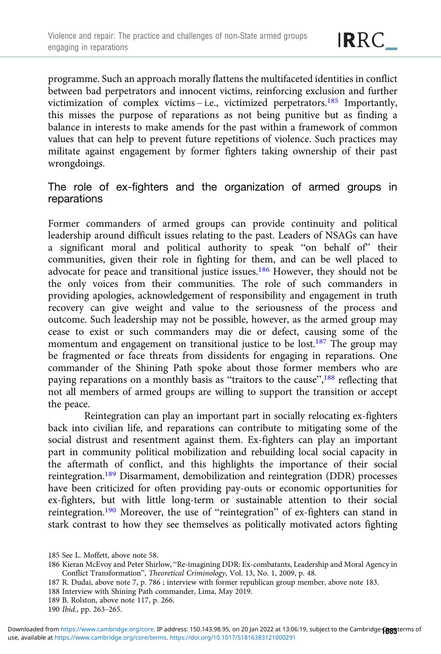programme. Such an approach morally flattens the multifaceted identities in conflict between bad perpetrators and innocent victims, reinforcing exclusion and further victimization of complex victims – i.e., victimized perpetrators.<sup>185</sup> Importantly, this misses the purpose of reparations as not being punitive but as finding a balance in interests to make amends for the past within a framework of common values that can help to prevent future repetitions of violence. Such practices may militate against engagement by former fighters taking ownership of their past wrongdoings.

## The role of ex-fighters and the organization of armed groups in reparations

Former commanders of armed groups can provide continuity and political leadership around difficult issues relating to the past. Leaders of NSAGs can have a significant moral and political authority to speak "on behalf of" their communities, given their role in fighting for them, and can be well placed to advocate for peace and transitional justice issues.186 However, they should not be the only voices from their communities. The role of such commanders in providing apologies, acknowledgement of responsibility and engagement in truth recovery can give weight and value to the seriousness of the process and outcome. Such leadership may not be possible, however, as the armed group may cease to exist or such commanders may die or defect, causing some of the momentum and engagement on transitional justice to be lost.<sup>187</sup> The group may be fragmented or face threats from dissidents for engaging in reparations. One commander of the Shining Path spoke about those former members who are paying reparations on a monthly basis as "traitors to the cause",<sup>188</sup> reflecting that not all members of armed groups are willing to support the transition or accept the peace.

Reintegration can play an important part in socially relocating ex-fighters back into civilian life, and reparations can contribute to mitigating some of the social distrust and resentment against them. Ex-fighters can play an important part in community political mobilization and rebuilding local social capacity in the aftermath of conflict, and this highlights the importance of their social reintegration.189 Disarmament, demobilization and reintegration (DDR) processes have been criticized for often providing pay-outs or economic opportunities for ex-fighters, but with little long-term or sustainable attention to their social reintegration.190 Moreover, the use of "reintegration" of ex-fighters can stand in stark contrast to how they see themselves as politically motivated actors fighting

189 B. Rolston, above note 117, p. 266.

<sup>185</sup> See L. Moffett, above note 58.

<sup>186</sup> Kieran McEvoy and Peter Shirlow, "Re-imagining DDR: Ex-combatants, Leadership and Moral Agency in Conflict Transformation", Theoretical Criminology, Vol. 13, No. 1, 2009, p. 48.

<sup>187</sup> R. Dudai, above note 7, p. 786 ; interview with former republican group member, above note 183.

<sup>188</sup> Interview with Shining Path commander, Lima, May 2019.

<sup>190</sup> Ibid., pp. 263–265.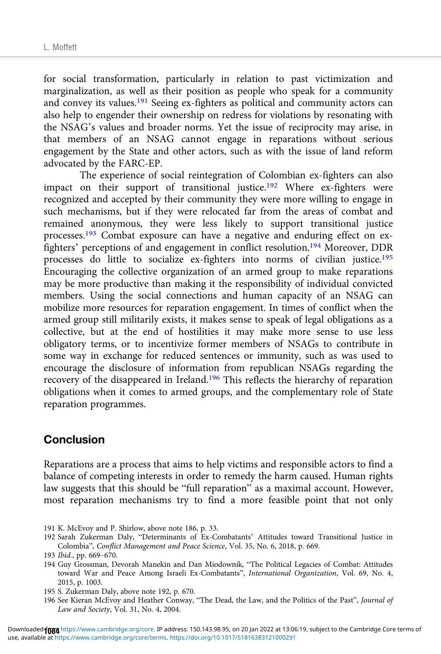for social transformation, particularly in relation to past victimization and marginalization, as well as their position as people who speak for a community and convey its values.<sup>191</sup> Seeing ex-fighters as political and community actors can also help to engender their ownership on redress for violations by resonating with the NSAG's values and broader norms. Yet the issue of reciprocity may arise, in that members of an NSAG cannot engage in reparations without serious engagement by the State and other actors, such as with the issue of land reform advocated by the FARC-EP.

The experience of social reintegration of Colombian ex-fighters can also impact on their support of transitional justice.<sup>192</sup> Where ex-fighters were recognized and accepted by their community they were more willing to engage in such mechanisms, but if they were relocated far from the areas of combat and remained anonymous, they were less likely to support transitional justice processes.<sup>193</sup> Combat exposure can have a negative and enduring effect on exfighters' perceptions of and engagement in conflict resolution.194 Moreover, DDR processes do little to socialize ex-fighters into norms of civilian justice.<sup>195</sup> Encouraging the collective organization of an armed group to make reparations may be more productive than making it the responsibility of individual convicted members. Using the social connections and human capacity of an NSAG can mobilize more resources for reparation engagement. In times of conflict when the armed group still militarily exists, it makes sense to speak of legal obligations as a collective, but at the end of hostilities it may make more sense to use less obligatory terms, or to incentivize former members of NSAGs to contribute in some way in exchange for reduced sentences or immunity, such as was used to encourage the disclosure of information from republican NSAGs regarding the recovery of the disappeared in Ireland.<sup>196</sup> This reflects the hierarchy of reparation obligations when it comes to armed groups, and the complementary role of State reparation programmes.

## **Conclusion**

Reparations are a process that aims to help victims and responsible actors to find a balance of competing interests in order to remedy the harm caused. Human rights law suggests that this should be "full reparation" as a maximal account. However, most reparation mechanisms try to find a more feasible point that not only

- 191 K. McEvoy and P. Shirlow, above note 186, p. 33.
- 192 Sarah Zukerman Daly, "Determinants of Ex-Combatants' Attitudes toward Transitional Justice in Colombia", Conflict Management and Peace Science, Vol. 35, No. 6, 2018, p. 669.

- 194 Guy Grossman, Devorah Manekin and Dan Miodownik, "The Political Legacies of Combat: Attitudes toward War and Peace Among Israeli Ex-Combatants", International Organization, Vol. 69, No. 4, 2015, p. 1003.
- 195 S. Zukerman Daly, above note 192, p. 670.
- 196 See Kieran McEvoy and Heather Conway, "The Dead, the Law, and the Politics of the Past", Journal of Law and Society, Vol. 31, No. 4, 2004.

<sup>193</sup> Ibid., pp. 669–670.